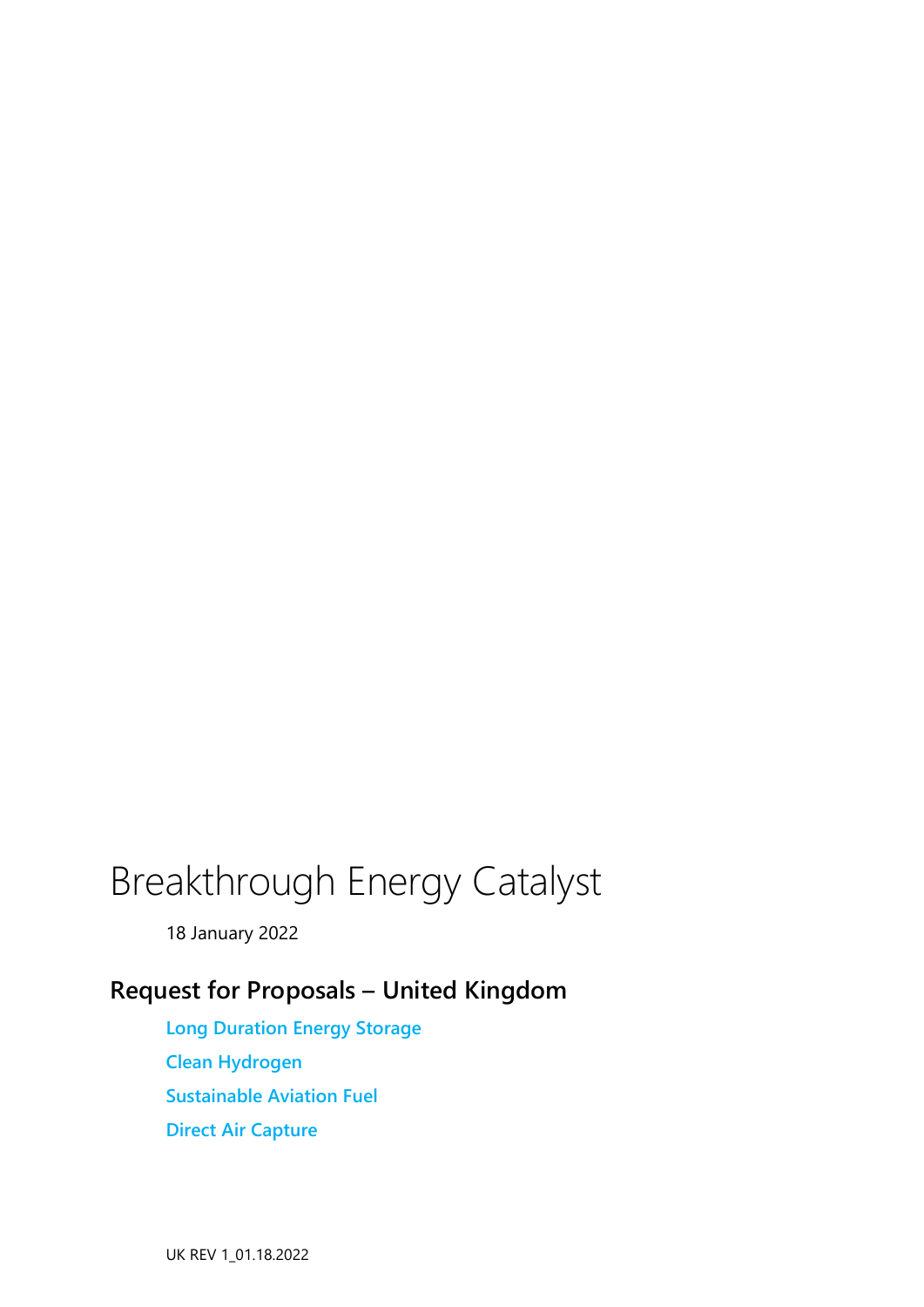# Breakthrough Energy Catalyst

18 January 2022

## **Request for Proposals – United Kingdom**

**Long Duration Energy Storage Clean Hydrogen Sustainable Aviation Fuel Direct Air Capture**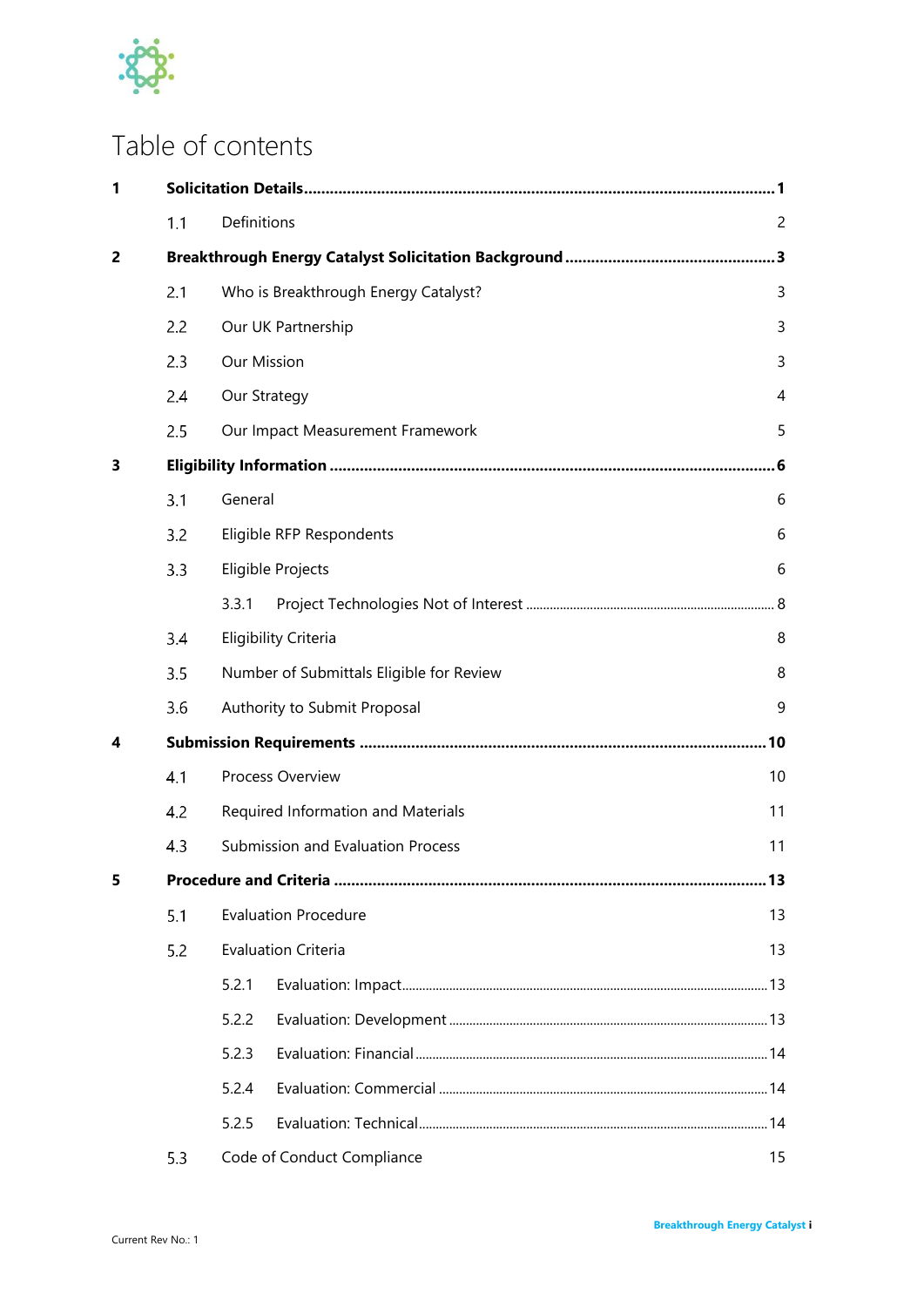

## Table of contents

| 1 |     |                                          |                            |                |  |  |  |  |  |
|---|-----|------------------------------------------|----------------------------|----------------|--|--|--|--|--|
|   | 1.1 | Definitions                              |                            | $\overline{2}$ |  |  |  |  |  |
| 2 |     |                                          |                            |                |  |  |  |  |  |
|   | 2.1 | Who is Breakthrough Energy Catalyst?     |                            |                |  |  |  |  |  |
|   | 2.2 | Our UK Partnership                       |                            |                |  |  |  |  |  |
|   | 2.3 | <b>Our Mission</b>                       |                            |                |  |  |  |  |  |
|   | 2.4 |                                          | Our Strategy               |                |  |  |  |  |  |
|   | 2.5 | Our Impact Measurement Framework         |                            |                |  |  |  |  |  |
| 3 | . 6 |                                          |                            |                |  |  |  |  |  |
|   | 3.1 | General                                  |                            |                |  |  |  |  |  |
|   | 3.2 | Eligible RFP Respondents                 |                            |                |  |  |  |  |  |
|   | 3.3 | Eligible Projects                        |                            |                |  |  |  |  |  |
|   |     | 3.3.1                                    |                            |                |  |  |  |  |  |
|   | 3,4 | <b>Eligibility Criteria</b>              |                            |                |  |  |  |  |  |
|   | 3.5 | Number of Submittals Eligible for Review |                            |                |  |  |  |  |  |
|   | 3.6 | Authority to Submit Proposal             |                            |                |  |  |  |  |  |
| 4 |     | .10                                      |                            |                |  |  |  |  |  |
|   | 4.1 | Process Overview                         |                            |                |  |  |  |  |  |
|   | 4.2 | Required Information and Materials       |                            |                |  |  |  |  |  |
|   | 4.3 | Submission and Evaluation Process<br>11  |                            |                |  |  |  |  |  |
| 5 |     |                                          |                            |                |  |  |  |  |  |
|   | 5.1 | <b>Evaluation Procedure</b>              |                            |                |  |  |  |  |  |
|   | 5.2 |                                          | <b>Evaluation Criteria</b> | 13             |  |  |  |  |  |
|   |     | 5.2.1                                    |                            |                |  |  |  |  |  |
|   |     | 5.2.2                                    |                            |                |  |  |  |  |  |
|   |     | 5.2.3                                    |                            |                |  |  |  |  |  |
|   |     | 5.2.4                                    |                            |                |  |  |  |  |  |
|   |     | 5.2.5                                    |                            |                |  |  |  |  |  |
|   | 5.3 |                                          | Code of Conduct Compliance | 15             |  |  |  |  |  |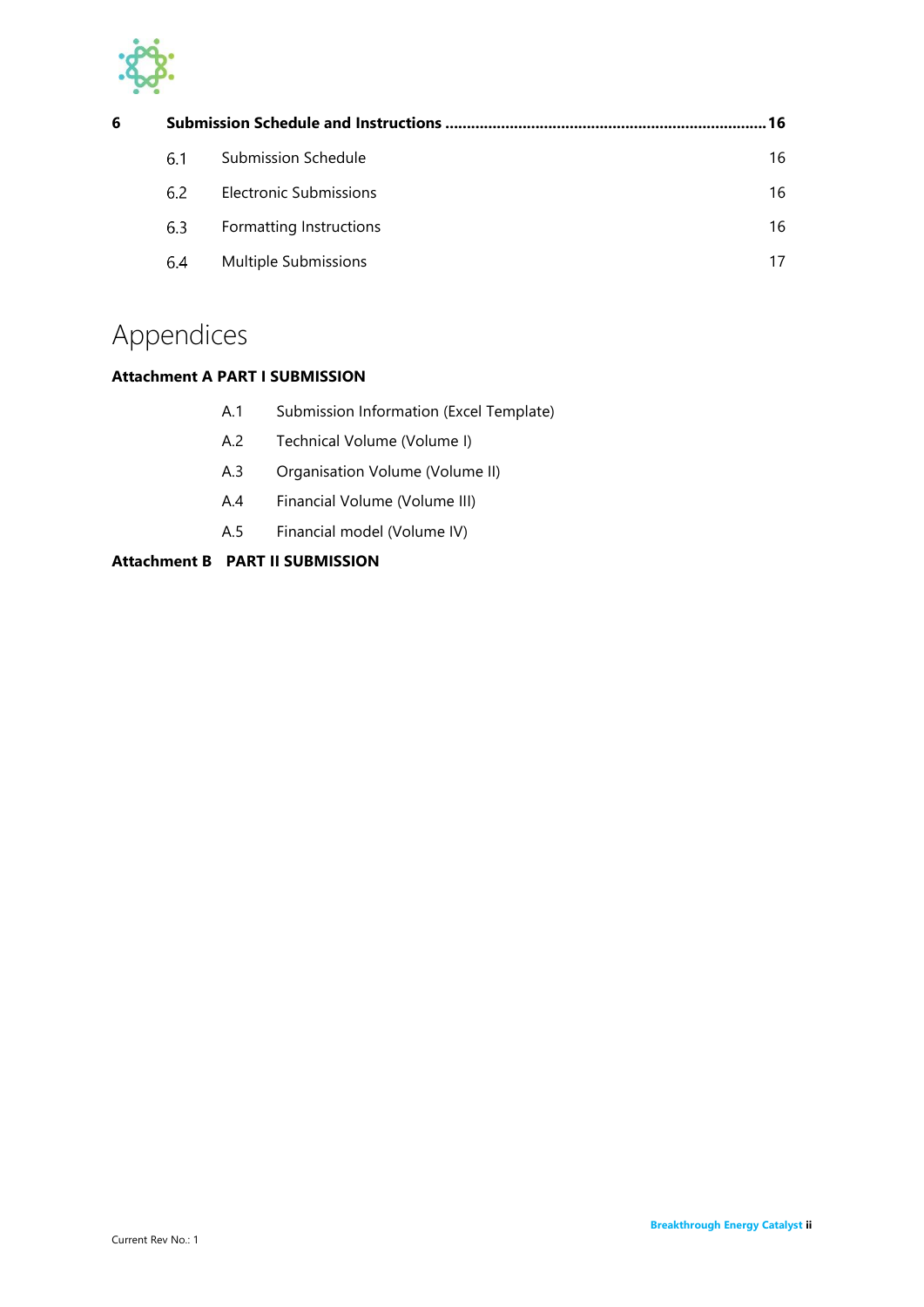

| 6 |     |                               |    |  |  |  |
|---|-----|-------------------------------|----|--|--|--|
|   | 6.1 | Submission Schedule           | 16 |  |  |  |
|   | 6.2 | <b>Electronic Submissions</b> | 16 |  |  |  |
|   | 6.3 | Formatting Instructions       | 16 |  |  |  |
|   | 6.4 | Multiple Submissions          | 17 |  |  |  |

## Appendices

## **Attachment A PART I SUBMISSION**

- A.1 [Submission Information \(Excel Template\)](#page-22-0)
- A.2 [Technical Volume \(Volume I\)](#page-23-0)
- A.3 [Organisation Volume \(Volume II\)](#page-26-0)
- A.4 [Financial Volume \(Volume III\)](#page-26-1)
- A.5 [Financial model \(Volume IV\)](#page-27-0)

## **Attachment B [PART II SUBMISSION](#page-28-0)**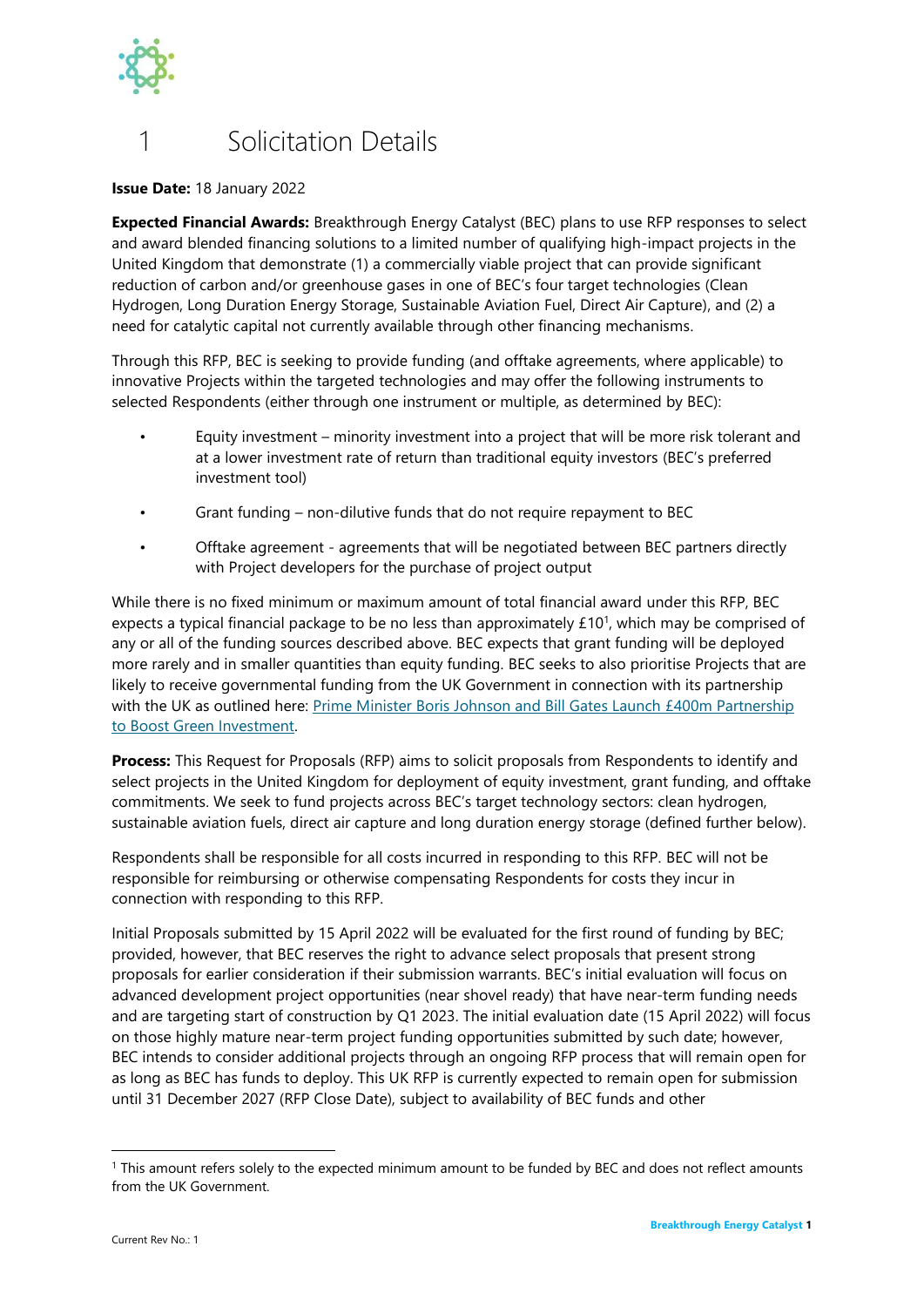

## <span id="page-3-0"></span>**Solicitation Details**

**Issue Date:** 18 January 2022

**Expected Financial Awards:** Breakthrough Energy Catalyst (BEC) plans to use RFP responses to select and award blended financing solutions to a limited number of qualifying high-impact projects in the United Kingdom that demonstrate (1) a commercially viable project that can provide significant reduction of carbon and/or greenhouse gases in one of BEC's four target technologies (Clean Hydrogen, Long Duration Energy Storage, Sustainable Aviation Fuel, Direct Air Capture), and (2) a need for catalytic capital not currently available through other financing mechanisms.

Through this RFP, BEC is seeking to provide funding (and offtake agreements, where applicable) to innovative Projects within the targeted technologies and may offer the following instruments to selected Respondents (either through one instrument or multiple, as determined by BEC):

- Equity investment minority investment into a project that will be more risk tolerant and at a lower investment rate of return than traditional equity investors (BEC's preferred investment tool)
- Grant funding non-dilutive funds that do not require repayment to BEC
- Offtake agreement agreements that will be negotiated between BEC partners directly with Project developers for the purchase of project output

While there is no fixed minimum or maximum amount of total financial award under this RFP, BEC expects a typical financial package to be no less than approximately  $£10<sup>1</sup>$ , which may be comprised of any or all of the funding sources described above. BEC expects that grant funding will be deployed more rarely and in smaller quantities than equity funding. BEC seeks to also prioritise Projects that are likely to receive governmental funding from the UK Government in connection with its partnership with the UK as outlined here: Prime Minister Boris Johnson and Bill Gates Launch £400m Partnership [to Boost Green Investment.](https://www.breakthroughenergy.org/articles/uk-catalyst-partnership)

**Process:** This Request for Proposals (RFP) aims to solicit proposals from Respondents to identify and select projects in the United Kingdom for deployment of equity investment, grant funding, and offtake commitments. We seek to fund projects across BEC's target technology sectors: clean hydrogen, sustainable aviation fuels, direct air capture and long duration energy storage (defined further below).

Respondents shall be responsible for all costs incurred in responding to this RFP. BEC will not be responsible for reimbursing or otherwise compensating Respondents for costs they incur in connection with responding to this RFP.

Initial Proposals submitted by 15 April 2022 will be evaluated for the first round of funding by BEC; provided, however, that BEC reserves the right to advance select proposals that present strong proposals for earlier consideration if their submission warrants. BEC's initial evaluation will focus on advanced development project opportunities (near shovel ready) that have near-term funding needs and are targeting start of construction by Q1 2023. The initial evaluation date (15 April 2022) will focus on those highly mature near-term project funding opportunities submitted by such date; however, BEC intends to consider additional projects through an ongoing RFP process that will remain open for as long as BEC has funds to deploy. This UK RFP is currently expected to remain open for submission until 31 December 2027 (RFP Close Date), subject to availability of BEC funds and other

<sup>&</sup>lt;sup>1</sup> This amount refers solely to the expected minimum amount to be funded by BEC and does not reflect amounts from the UK Government.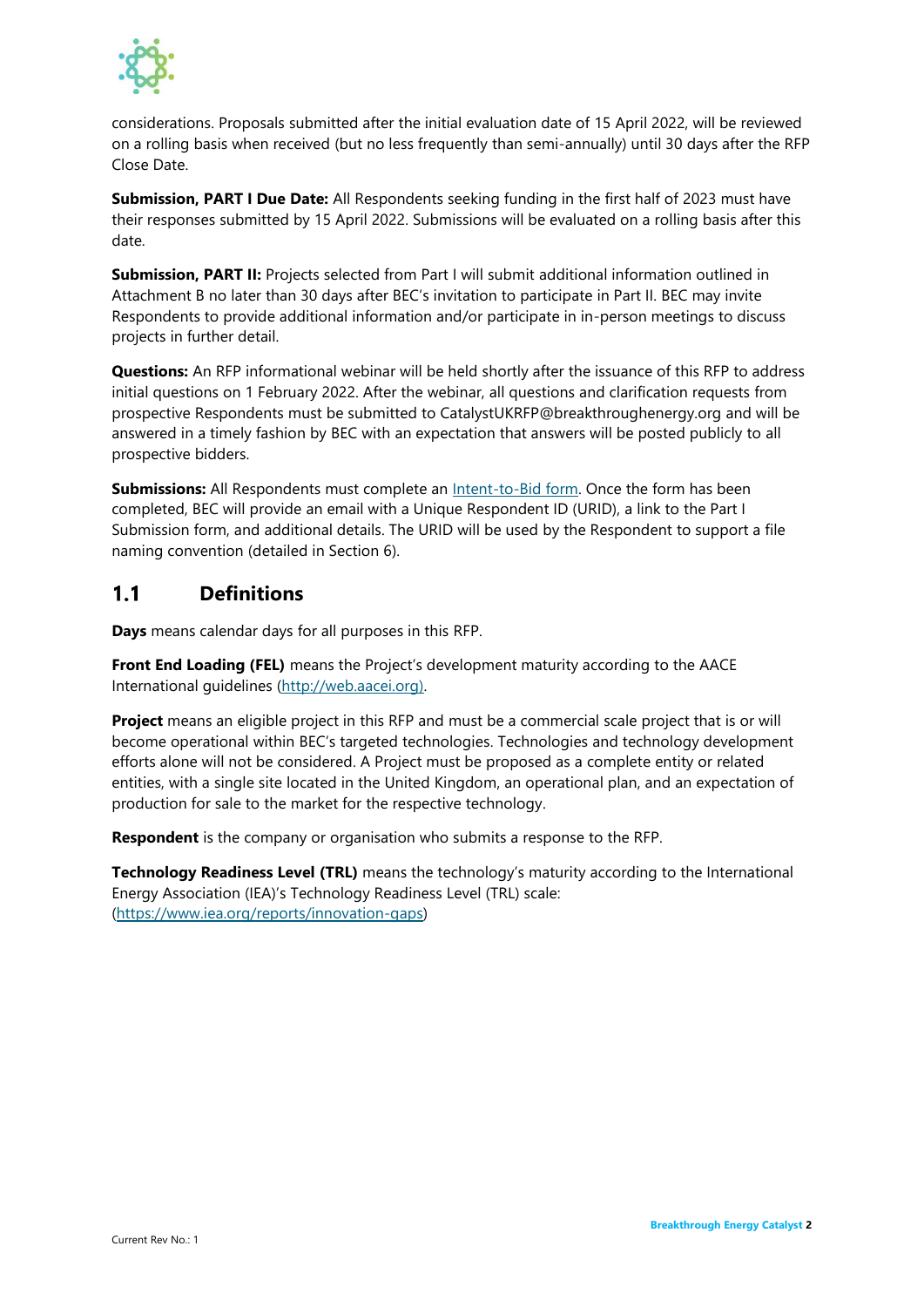

considerations. Proposals submitted after the initial evaluation date of 15 April 2022, will be reviewed on a rolling basis when received (but no less frequently than semi-annually) until 30 days after the RFP Close Date.

**Submission, PART I Due Date:** All Respondents seeking funding in the first half of 2023 must have their responses submitted by 15 April 2022. Submissions will be evaluated on a rolling basis after this date.

**Submission, PART II:** Projects selected from Part I will submit additional information outlined in Attachment B no later than 30 days after BEC's invitation to participate in Part II. BEC may invite Respondents to provide additional information and/or participate in in-person meetings to discuss projects in further detail.

**Questions:** An RFP informational webinar will be held shortly after the issuance of this RFP to address initial questions on 1 February 2022. After the webinar, all questions and clarification requests from prospective Respondents must be submitted to CatalystUKRFP@breakthroughenergy.org and will be answered in a timely fashion by BEC with an expectation that answers will be posted publicly to all prospective bidders.

**Submissions:** All Respondents must complete an [Intent-to-Bid form.](https://forms.office.com/Pages/ResponsePage.aspx?id=VgCUFnQD7kGRilV2MicP6QJ30UCadfxBkM27WXPU6gVUREZITUlQWldaTENJUDU5RzlFVzNOMUhIUC4u) Once the form has been completed, BEC will provide an email with a Unique Respondent ID (URID), a link to the Part I Submission form, and additional details. The URID will be used by the Respondent to support a file naming convention (detailed in Section 6).

#### <span id="page-4-0"></span> $1.1$ **Definitions**

**Days** means calendar days for all purposes in this RFP.

**Front End Loading (FEL)** means the Project's development maturity according to the AACE International guidelines (http://web.aacei.org).

**Project** means an eligible project in this RFP and must be a commercial scale project that is or will become operational within BEC's targeted technologies. Technologies and technology development efforts alone will not be considered. A Project must be proposed as a complete entity or related entities, with a single site located in the United Kingdom, an operational plan, and an expectation of production for sale to the market for the respective technology.

**Respondent** is the company or organisation who submits a response to the RFP.

**Technology Readiness Level (TRL)** means the technology's maturity according to the International Energy Association (IEA)'s Technology Readiness Level (TRL) scale: [\(https://www.iea.org/reports/innovation-gaps\)](https://www.iea.org/reports/innovation-gaps)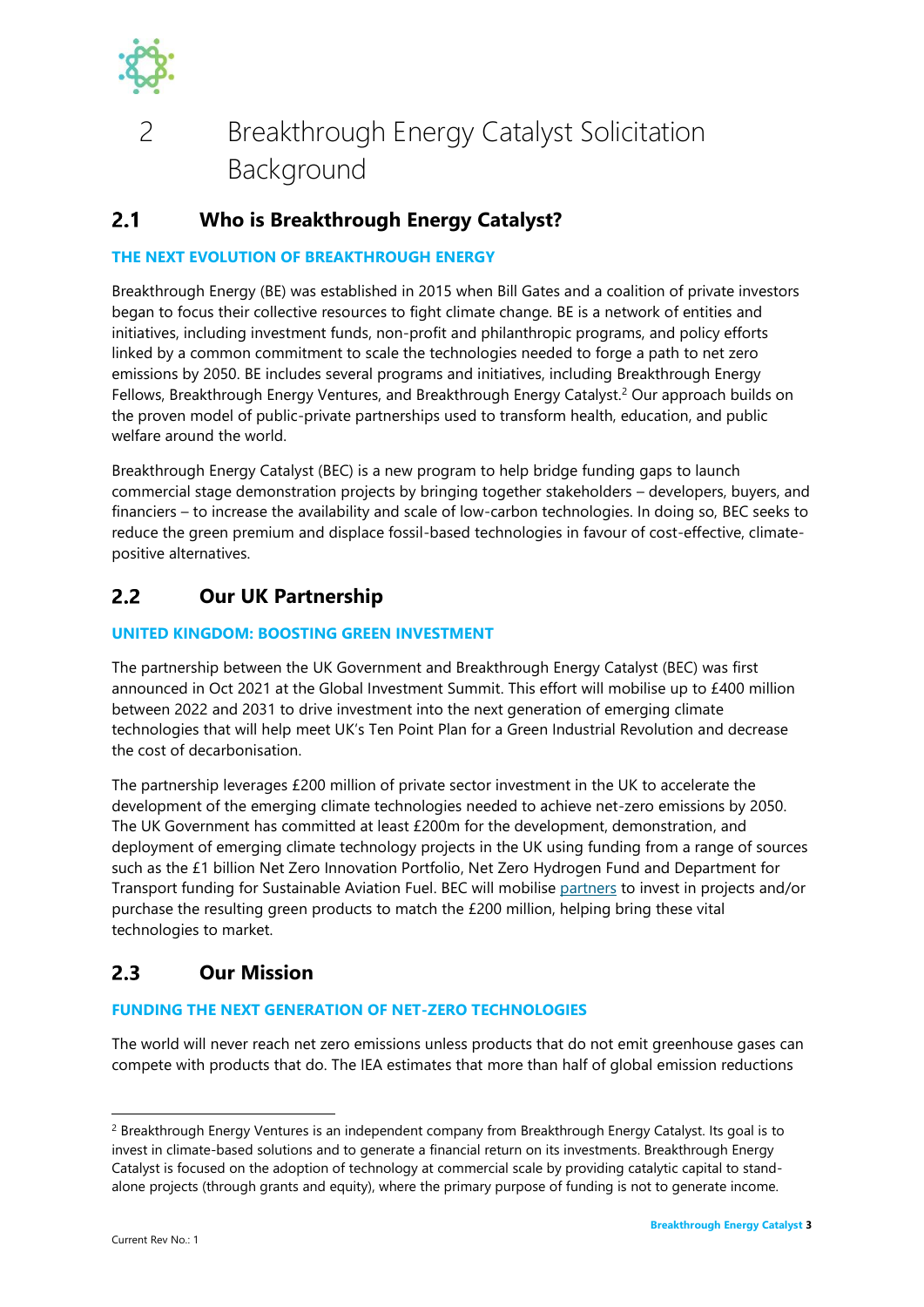

## <span id="page-5-0"></span>2 Breakthrough Energy Catalyst Solicitation Background

#### <span id="page-5-1"></span> $2.1$ **Who is Breakthrough Energy Catalyst?**

## **THE NEXT EVOLUTION OF BREAKTHROUGH ENERGY**

Breakthrough Energy (BE) was established in 2015 when Bill Gates and a coalition of private investors began to focus their collective resources to fight climate change. BE is a network of entities and initiatives, including investment funds, non-profit and philanthropic programs, and policy efforts linked by a common commitment to scale the technologies needed to forge a path to net zero emissions by 2050. BE includes several programs and initiatives, including Breakthrough Energy Fellows, Breakthrough Energy Ventures, and Breakthrough Energy Catalyst.<sup>2</sup> Our approach builds on the proven model of public-private partnerships used to transform health, education, and public welfare around the world.

Breakthrough Energy Catalyst (BEC) is a new program to help bridge funding gaps to launch commercial stage demonstration projects by bringing together stakeholders – developers, buyers, and financiers – to increase the availability and scale of low-carbon technologies. In doing so, BEC seeks to reduce the green premium and displace fossil-based technologies in favour of cost-effective, climatepositive alternatives.

#### <span id="page-5-2"></span> $2.2$ **Our UK Partnership**

## **UNITED KINGDOM: BOOSTING GREEN INVESTMENT**

The partnership between the UK Government and Breakthrough Energy Catalyst (BEC) was first announced in Oct 2021 at the Global Investment Summit. This effort will mobilise up to £400 million between 2022 and 2031 to drive investment into the next generation of emerging climate technologies that will help meet UK's Ten Point Plan for a Green Industrial Revolution and decrease the cost of decarbonisation.

The partnership leverages £200 million of private sector investment in the UK to accelerate the development of the emerging climate technologies needed to achieve net-zero emissions by 2050. The UK Government has committed at least £200m for the development, demonstration, and deployment of emerging climate technology projects in the UK using funding from a range of sources such as the £1 billion Net Zero Innovation Portfolio, Net Zero Hydrogen Fund and Department for Transport funding for Sustainable Aviation Fuel. BEC will mobilise [partners](https://www.breakthroughenergy.org/articles/catalyst-anchor-partners-announced) to invest in projects and/or purchase the resulting green products to match the £200 million, helping bring these vital technologies to market.

#### <span id="page-5-3"></span> $2.3$ **Our Mission**

## **FUNDING THE NEXT GENERATION OF NET-ZERO TECHNOLOGIES**

The world will never reach net zero emissions unless products that do not emit greenhouse gases can compete with products that do. The IEA estimates that more than half of global emission reductions

<sup>&</sup>lt;sup>2</sup> Breakthrough Energy Ventures is an independent company from Breakthrough Energy Catalyst. Its goal is to invest in climate-based solutions and to generate a financial return on its investments. Breakthrough Energy Catalyst is focused on the adoption of technology at commercial scale by providing catalytic capital to standalone projects (through grants and equity), where the primary purpose of funding is not to generate income.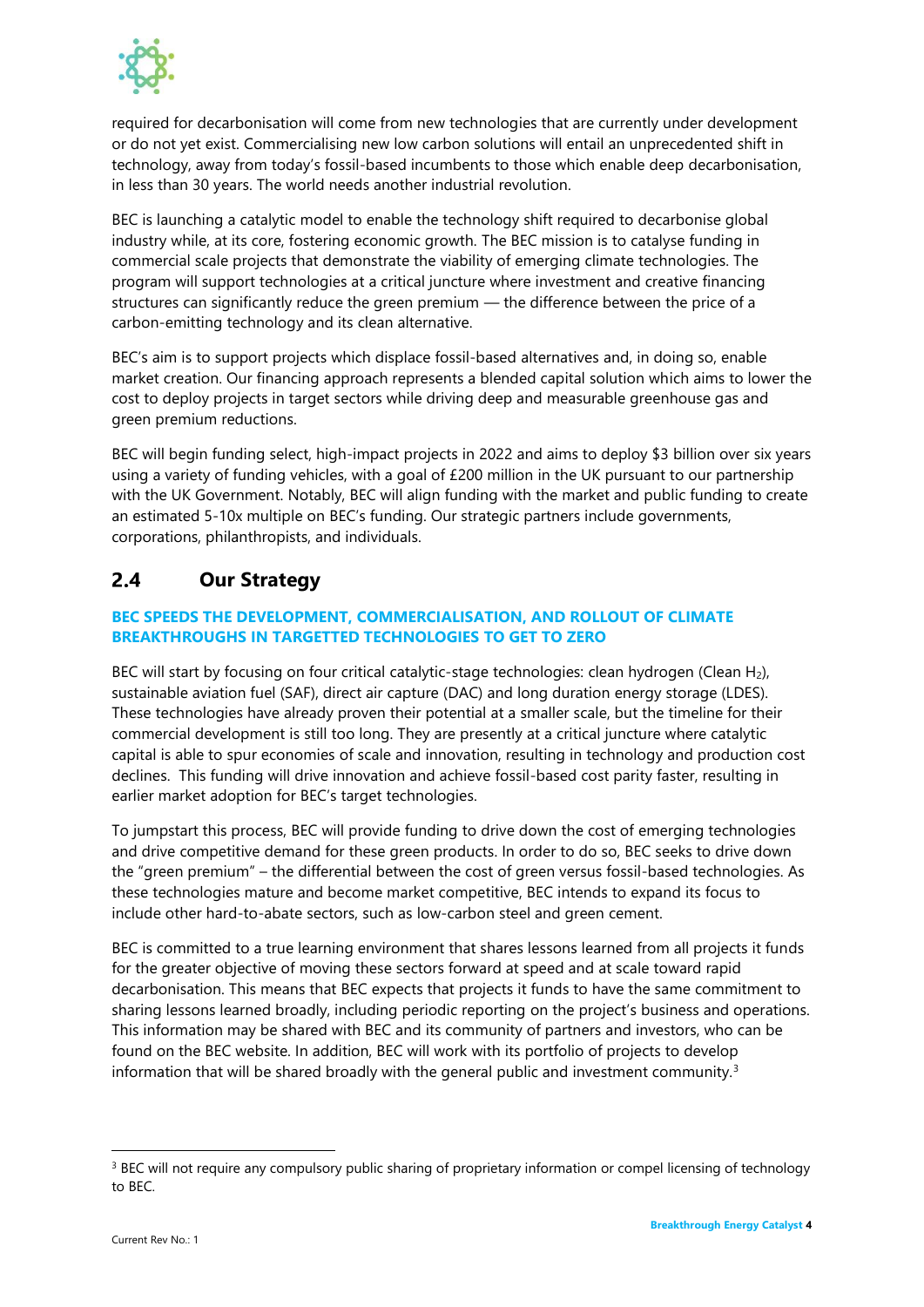

required for decarbonisation will come from new technologies that are currently under development or do not yet exist. Commercialising new low carbon solutions will entail an unprecedented shift in technology, away from today's fossil-based incumbents to those which enable deep decarbonisation, in less than 30 years. The world needs another industrial revolution.

BEC is launching a catalytic model to enable the technology shift required to decarbonise global industry while, at its core, fostering economic growth. The BEC mission is to catalyse funding in commercial scale projects that demonstrate the viability of emerging climate technologies. The program will support technologies at a critical juncture where investment and creative financing structures can significantly reduce the green premium — the difference between the price of a carbon-emitting technology and its clean alternative.

BEC's aim is to support projects which displace fossil-based alternatives and, in doing so, enable market creation. Our financing approach represents a blended capital solution which aims to lower the cost to deploy projects in target sectors while driving deep and measurable greenhouse gas and green premium reductions.

BEC will begin funding select, high-impact projects in 2022 and aims to deploy \$3 billion over six years using a variety of funding vehicles, with a goal of £200 million in the UK pursuant to our partnership with the UK Government. Notably, BEC will align funding with the market and public funding to create an estimated 5-10x multiple on BEC's funding. Our strategic partners include governments, corporations, philanthropists, and individuals.

#### <span id="page-6-0"></span> $2.4$ **Our Strategy**

## **BEC SPEEDS THE DEVELOPMENT, COMMERCIALISATION, AND ROLLOUT OF CLIMATE BREAKTHROUGHS IN TARGETTED TECHNOLOGIES TO GET TO ZERO**

BEC will start by focusing on four critical catalytic-stage technologies: clean hydrogen (Clean H2), sustainable aviation fuel (SAF), direct air capture (DAC) and long duration energy storage (LDES). These technologies have already proven their potential at a smaller scale, but the timeline for their commercial development is still too long. They are presently at a critical juncture where catalytic capital is able to spur economies of scale and innovation, resulting in technology and production cost declines. This funding will drive innovation and achieve fossil-based cost parity faster, resulting in earlier market adoption for BEC's target technologies.

To jumpstart this process, BEC will provide funding to drive down the cost of emerging technologies and drive competitive demand for these green products. In order to do so, BEC seeks to drive down the "green premium" – the differential between the cost of green versus fossil-based technologies. As these technologies mature and become market competitive, BEC intends to expand its focus to include other hard-to-abate sectors, such as low-carbon steel and green cement.

BEC is committed to a true learning environment that shares lessons learned from all projects it funds for the greater objective of moving these sectors forward at speed and at scale toward rapid decarbonisation. This means that BEC expects that projects it funds to have the same commitment to sharing lessons learned broadly, including periodic reporting on the project's business and operations. This information may be shared with BEC and its community of partners and investors, who can be found on the BEC website. In addition, BEC will work with its portfolio of projects to develop information that will be shared broadly with the general public and investment community.<sup>3</sup>

<sup>&</sup>lt;sup>3</sup> BEC will not require any compulsory public sharing of proprietary information or compel licensing of technology to BEC.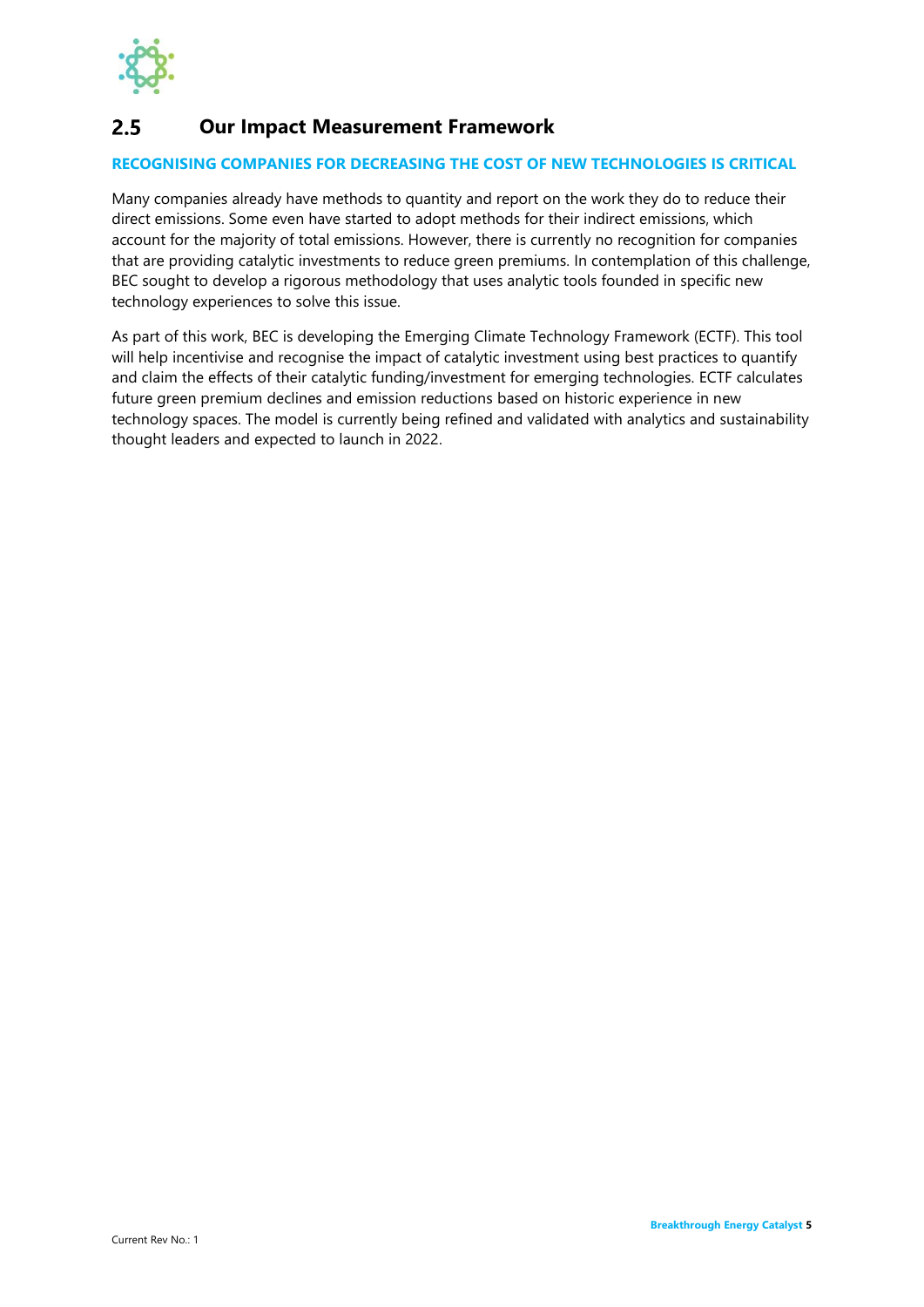

#### <span id="page-7-0"></span> $2.5$ **Our Impact Measurement Framework**

## **RECOGNISING COMPANIES FOR DECREASING THE COST OF NEW TECHNOLOGIES IS CRITICAL**

Many companies already have methods to quantity and report on the work they do to reduce their direct emissions. Some even have started to adopt methods for their indirect emissions, which account for the majority of total emissions. However, there is currently no recognition for companies that are providing catalytic investments to reduce green premiums. In contemplation of this challenge, BEC sought to develop a rigorous methodology that uses analytic tools founded in specific new technology experiences to solve this issue.

As part of this work, BEC is developing the Emerging Climate Technology Framework (ECTF). This tool will help incentivise and recognise the impact of catalytic investment using best practices to quantify and claim the effects of their catalytic funding/investment for emerging technologies. ECTF calculates future green premium declines and emission reductions based on historic experience in new technology spaces. The model is currently being refined and validated with analytics and sustainability thought leaders and expected to launch in 2022.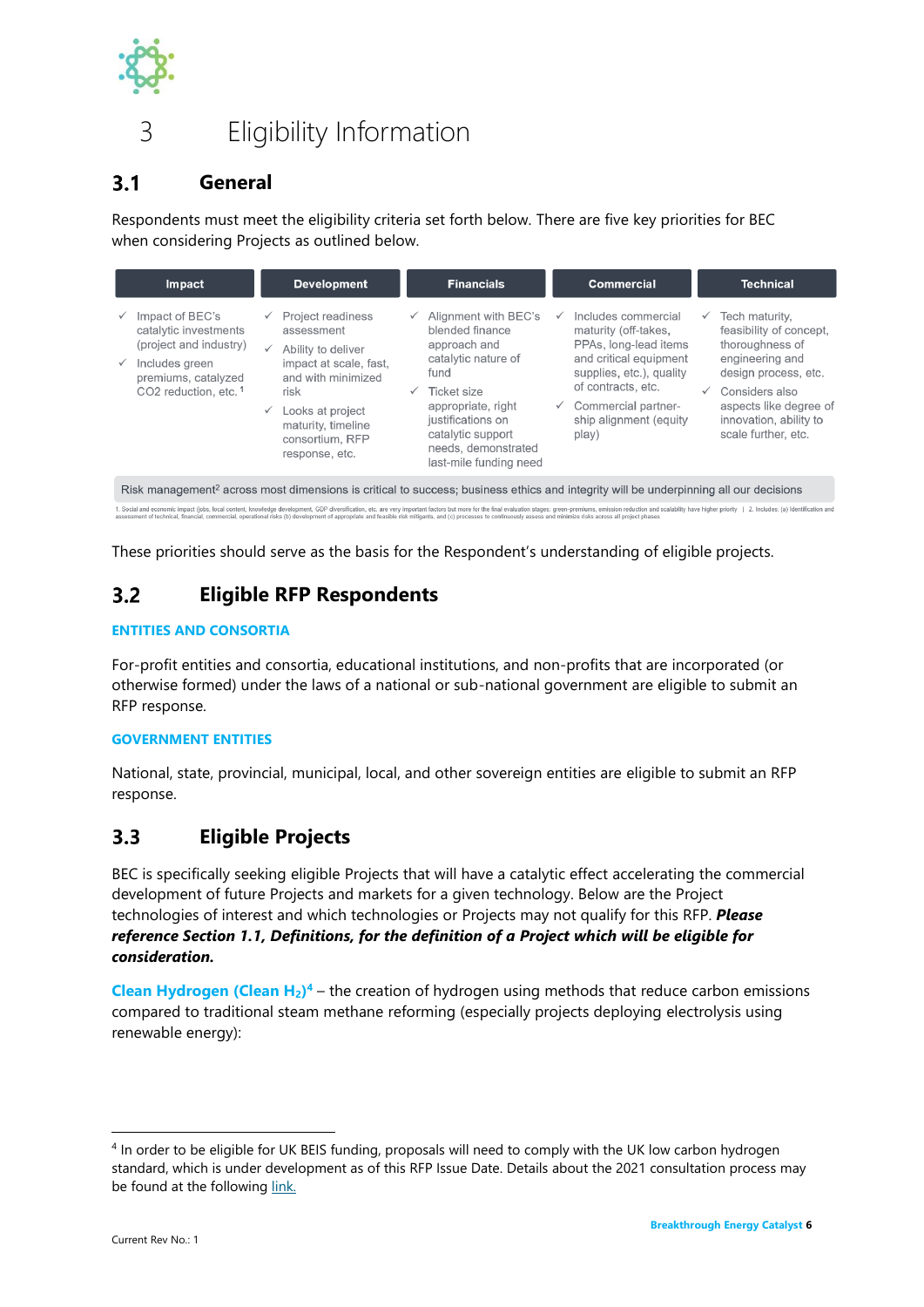

## <span id="page-8-0"></span>3 Eligibility Information

#### <span id="page-8-1"></span> $3.1$ **General**

Respondents must meet the eligibility criteria set forth below. There are five key priorities for BEC when considering Projects as outlined below.

|                                                                                                                                                  | Impact                                                                                                                               |                              | <b>Development</b>                                                                                                                                                                                  |              | <b>Financials</b>                                                                                                                                                                                                      |              | <b>Commercial</b>                                                                                                                                                                                          |                              | <b>Technical</b>                                                                                                                                                                                     |
|--------------------------------------------------------------------------------------------------------------------------------------------------|--------------------------------------------------------------------------------------------------------------------------------------|------------------------------|-----------------------------------------------------------------------------------------------------------------------------------------------------------------------------------------------------|--------------|------------------------------------------------------------------------------------------------------------------------------------------------------------------------------------------------------------------------|--------------|------------------------------------------------------------------------------------------------------------------------------------------------------------------------------------------------------------|------------------------------|------------------------------------------------------------------------------------------------------------------------------------------------------------------------------------------------------|
| $\checkmark$                                                                                                                                     | Impact of BEC's<br>catalytic investments<br>(project and industry)<br>Includes green<br>premiums, catalyzed<br>CO2 reduction, etc. 1 | $\checkmark$<br>$\checkmark$ | <b>Project readiness</b><br>assessment<br>Ability to deliver<br>impact at scale, fast,<br>and with minimized<br>risk<br>Looks at project<br>maturity, timeline<br>consortium, RFP<br>response, etc. | $\checkmark$ | Alignment with BEC's<br>blended finance<br>approach and<br>catalytic nature of<br>fund<br>Ticket size<br>appropriate, right<br>justifications on<br>catalytic support<br>needs, demonstrated<br>last-mile funding need | $\checkmark$ | Includes commercial<br>maturity (off-takes,<br>PPAs, long-lead items<br>and critical equipment<br>supplies, etc.), quality<br>of contracts, etc.<br>Commercial partner-<br>ship alignment (equity<br>play) | $\checkmark$<br>$\checkmark$ | Tech maturity,<br>feasibility of concept,<br>thoroughness of<br>engineering and<br>design process, etc.<br>Considers also<br>aspects like degree of<br>innovation, ability to<br>scale further, etc. |
| Risk management <sup>2</sup> across most dimensions is critical to success; business ethics and integrity will be underpinning all our decisions |                                                                                                                                      |                              |                                                                                                                                                                                                     |              |                                                                                                                                                                                                                        |              |                                                                                                                                                                                                            |                              |                                                                                                                                                                                                      |

1. Social and economic impact (photo, local content, knowledge development, CDP diversification, etc. are very important factors but more for the final expectation and example in the state of the system performed of approp

These priorities should serve as the basis for the Respondent's understanding of eligible projects.

#### <span id="page-8-2"></span> $3.2$ **Eligible RFP Respondents**

### **ENTITIES AND CONSORTIA**

For-profit entities and consortia, educational institutions, and non-profits that are incorporated (or otherwise formed) under the laws of a national or sub-national government are eligible to submit an RFP response.

### **GOVERNMENT ENTITIES**

National, state, provincial, municipal, local, and other sovereign entities are eligible to submit an RFP response.

#### <span id="page-8-3"></span> $3.3$ **Eligible Projects**

BEC is specifically seeking eligible Projects that will have a catalytic effect accelerating the commercial development of future Projects and markets for a given technology. Below are the Project technologies of interest and which technologies or Projects may not qualify for this RFP. *Please reference Section 1.1, Definitions, for the definition of a Project which will be eligible for consideration.*

**Clean Hydrogen (Clean H2) <sup>4</sup>** – the creation of hydrogen using methods that reduce carbon emissions compared to traditional steam methane reforming (especially projects deploying electrolysis using renewable energy):

<sup>4</sup> In order to be eligible for UK BEIS funding, proposals will need to comply with the UK low carbon hydrogen standard, which is under development as of this RFP Issue Date. Details about the 2021 consultation process may be found at the following [link.](https://www.gov.uk/government/consultations/designing-a-uk-low-carbon-hydrogen-standard)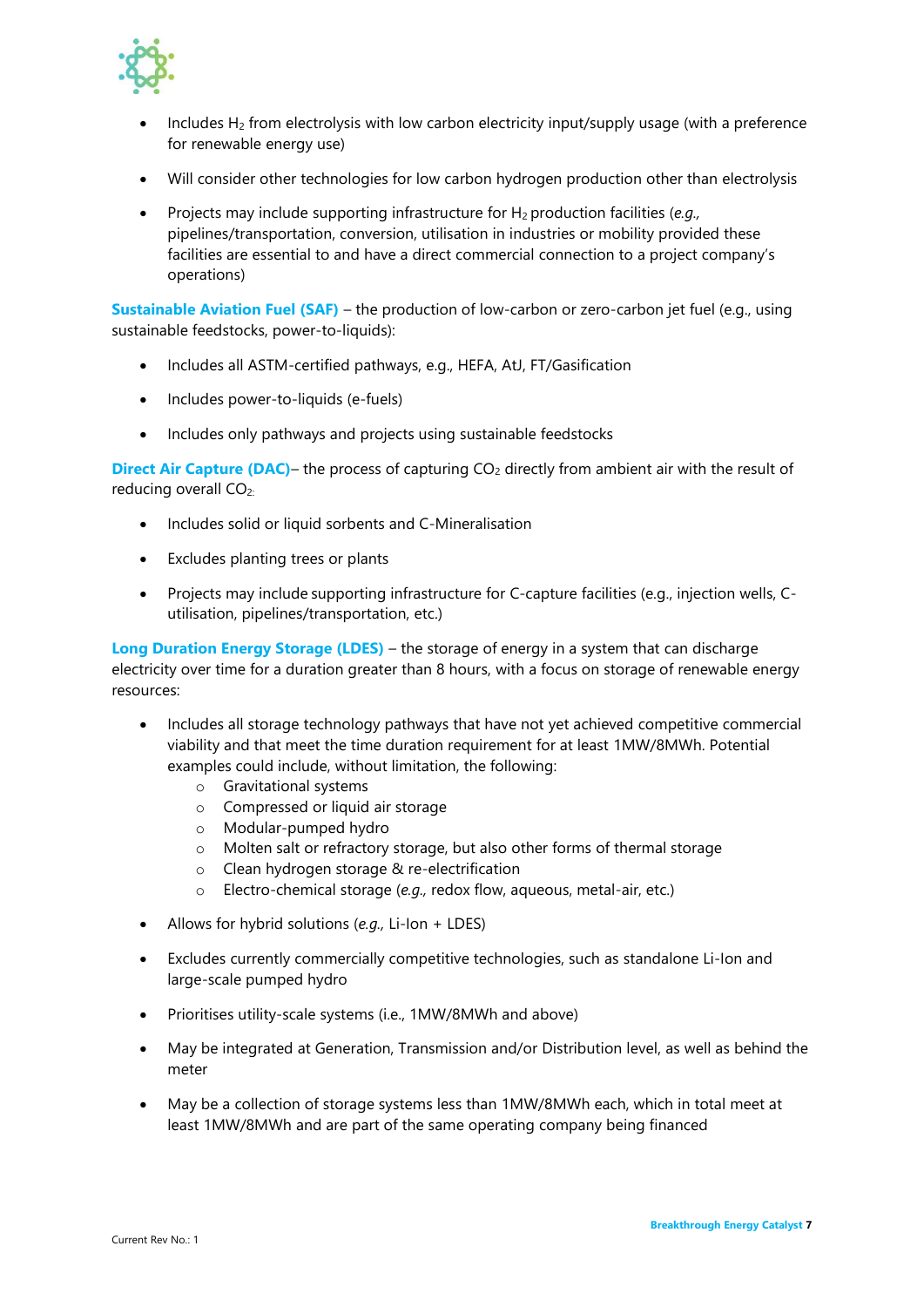

- Includes  $H_2$  from electrolysis with low carbon electricity input/supply usage (with a preference for renewable energy use)
- Will consider other technologies for low carbon hydrogen production other than electrolysis
- Projects may include supporting infrastructure for H2 production facilities (*e.g.,* pipelines/transportation, conversion, utilisation in industries or mobility provided these facilities are essential to and have a direct commercial connection to a project company's operations)

**Sustainable Aviation Fuel (SAF)** – the production of low-carbon or zero-carbon jet fuel (e.g., using sustainable feedstocks, power-to-liquids):

- Includes all ASTM-certified pathways, e.g., HEFA, AtJ, FT/Gasification
- Includes power-to-liquids (e-fuels)
- Includes only pathways and projects using sustainable feedstocks

**Direct Air Capture (DAC)– the process of capturing CO<sub>2</sub> directly from ambient air with the result of** reducing overall CO<sub>2:</sub>

- Includes solid or liquid sorbents and C-Mineralisation
- Excludes planting trees or plants
- Projects may include supporting infrastructure for C-capture facilities (e.g., injection wells, Cutilisation, pipelines/transportation, etc.)

**Long Duration Energy Storage (LDES)** – the storage of energy in a system that can discharge electricity over time for a duration greater than 8 hours, with a focus on storage of renewable energy resources:

- Includes all storage technology pathways that have not yet achieved competitive commercial viability and that meet the time duration requirement for at least 1MW/8MWh. Potential examples could include, without limitation, the following:
	- o Gravitational systems
	- o Compressed or liquid air storage
	- o Modular-pumped hydro
	- o Molten salt or refractory storage, but also other forms of thermal storage
	- o Clean hydrogen storage & re-electrification
	- o Electro-chemical storage (*e.g.,* redox flow, aqueous, metal-air, etc.)
- Allows for hybrid solutions (*e.g.,* Li-Ion + LDES)
- Excludes currently commercially competitive technologies, such as standalone Li-Ion and large-scale pumped hydro
- Prioritises utility-scale systems (i.e., 1MW/8MWh and above)
- May be integrated at Generation, Transmission and/or Distribution level, as well as behind the meter
- May be a collection of storage systems less than 1MW/8MWh each, which in total meet at least 1MW/8MWh and are part of the same operating company being financed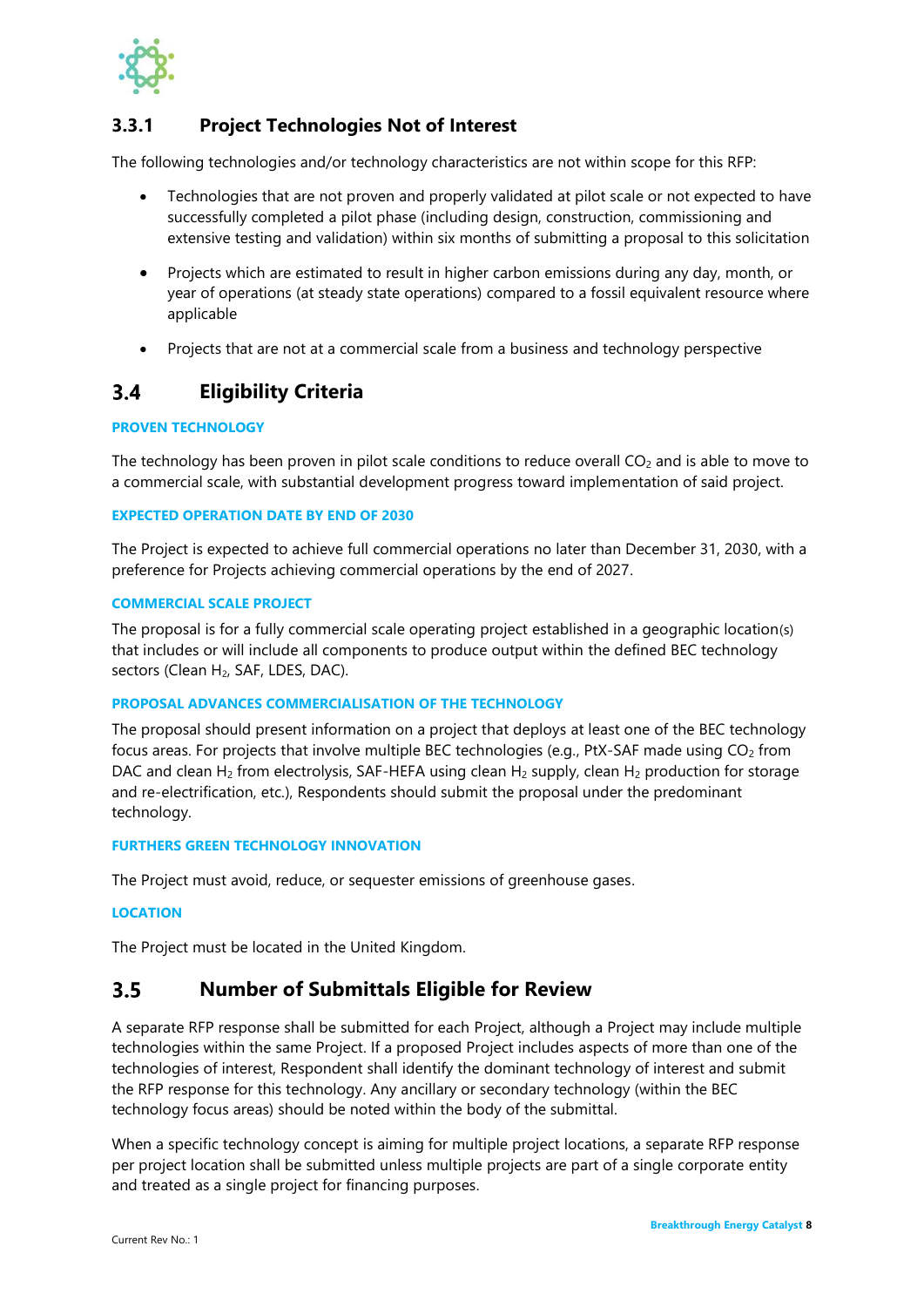

## <span id="page-10-0"></span>**3.3.1 Project Technologies Not of Interest**

The following technologies and/or technology characteristics are not within scope for this RFP:

- Technologies that are not proven and properly validated at pilot scale or not expected to have successfully completed a pilot phase (including design, construction, commissioning and extensive testing and validation) within six months of submitting a proposal to this solicitation
- Projects which are estimated to result in higher carbon emissions during any day, month, or year of operations (at steady state operations) compared to a fossil equivalent resource where applicable
- Projects that are not at a commercial scale from a business and technology perspective

#### <span id="page-10-1"></span> $3.4$ **Eligibility Criteria**

### **PROVEN TECHNOLOGY**

The technology has been proven in pilot scale conditions to reduce overall  $CO<sub>2</sub>$  and is able to move to a commercial scale, with substantial development progress toward implementation of said project.

### **EXPECTED OPERATION DATE BY END OF 2030**

The Project is expected to achieve full commercial operations no later than December 31, 2030, with a preference for Projects achieving commercial operations by the end of 2027.

### **COMMERCIAL SCALE PROJECT**

The proposal is for a fully commercial scale operating project established in a geographic location(s) that includes or will include all components to produce output within the defined BEC technology sectors (Clean H<sub>2</sub>, SAF, LDES, DAC).

### **PROPOSAL ADVANCES COMMERCIALISATION OF THE TECHNOLOGY**

The proposal should present information on a project that deploys at least one of the BEC technology focus areas. For projects that involve multiple BEC technologies (e.g., PtX-SAF made using  $CO<sub>2</sub>$  from DAC and clean H<sub>2</sub> from electrolysis, SAF-HEFA using clean H<sub>2</sub> supply, clean H<sub>2</sub> production for storage and re-electrification, etc.), Respondents should submit the proposal under the predominant technology.

### **FURTHERS GREEN TECHNOLOGY INNOVATION**

The Project must avoid, reduce, or sequester emissions of greenhouse gases.

### **LOCATION**

The Project must be located in the United Kingdom.

#### <span id="page-10-2"></span> $3.5$ **Number of Submittals Eligible for Review**

A separate RFP response shall be submitted for each Project, although a Project may include multiple technologies within the same Project. If a proposed Project includes aspects of more than one of the technologies of interest, Respondent shall identify the dominant technology of interest and submit the RFP response for this technology. Any ancillary or secondary technology (within the BEC technology focus areas) should be noted within the body of the submittal.

When a specific technology concept is aiming for multiple project locations, a separate RFP response per project location shall be submitted unless multiple projects are part of a single corporate entity and treated as a single project for financing purposes.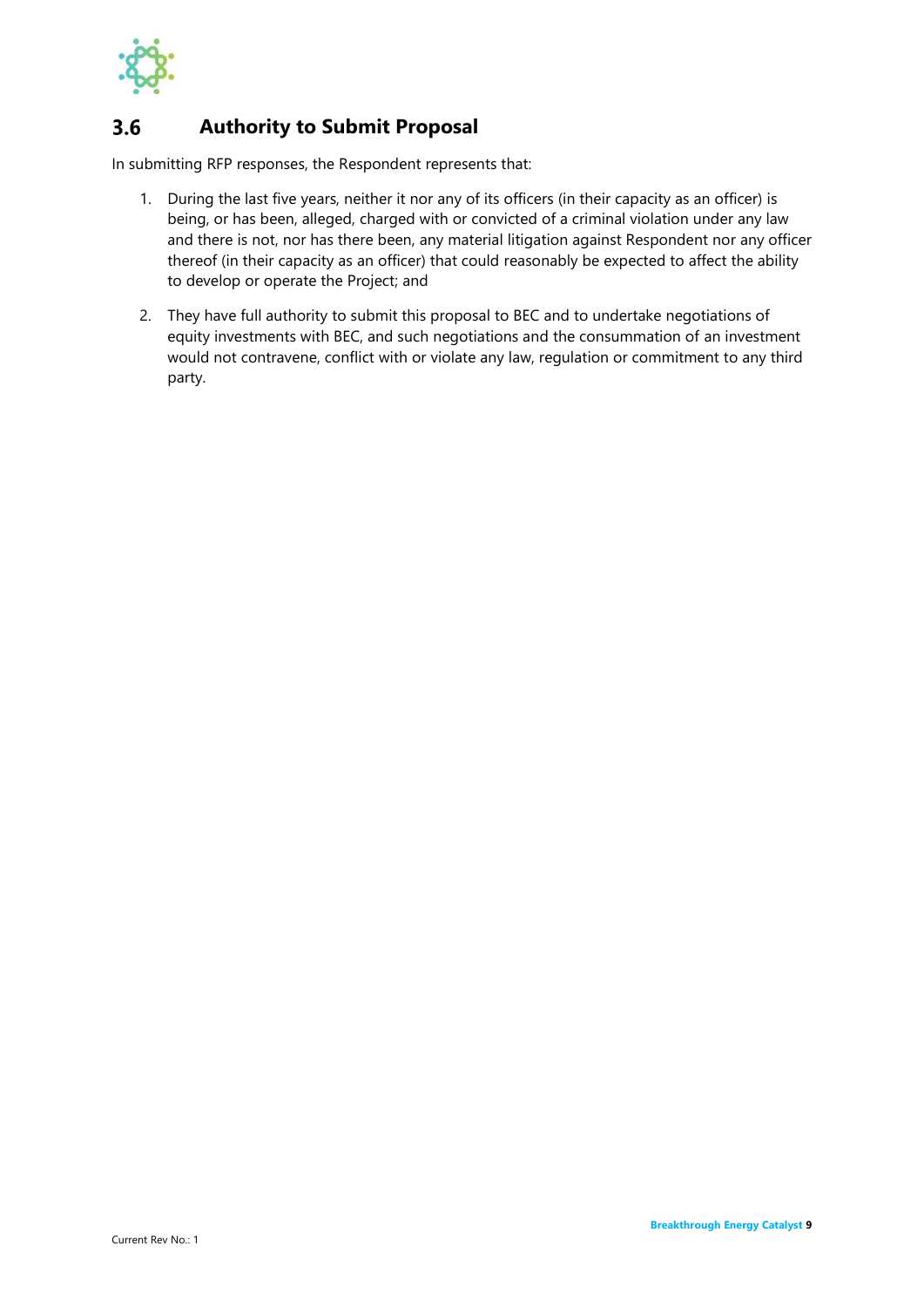

#### <span id="page-11-0"></span>**Authority to Submit Proposal**  $3.6$

In submitting RFP responses, the Respondent represents that:

- 1. During the last five years, neither it nor any of its officers (in their capacity as an officer) is being, or has been, alleged, charged with or convicted of a criminal violation under any law and there is not, nor has there been, any material litigation against Respondent nor any officer thereof (in their capacity as an officer) that could reasonably be expected to affect the ability to develop or operate the Project; and
- 2. They have full authority to submit this proposal to BEC and to undertake negotiations of equity investments with BEC, and such negotiations and the consummation of an investment would not contravene, conflict with or violate any law, regulation or commitment to any third party.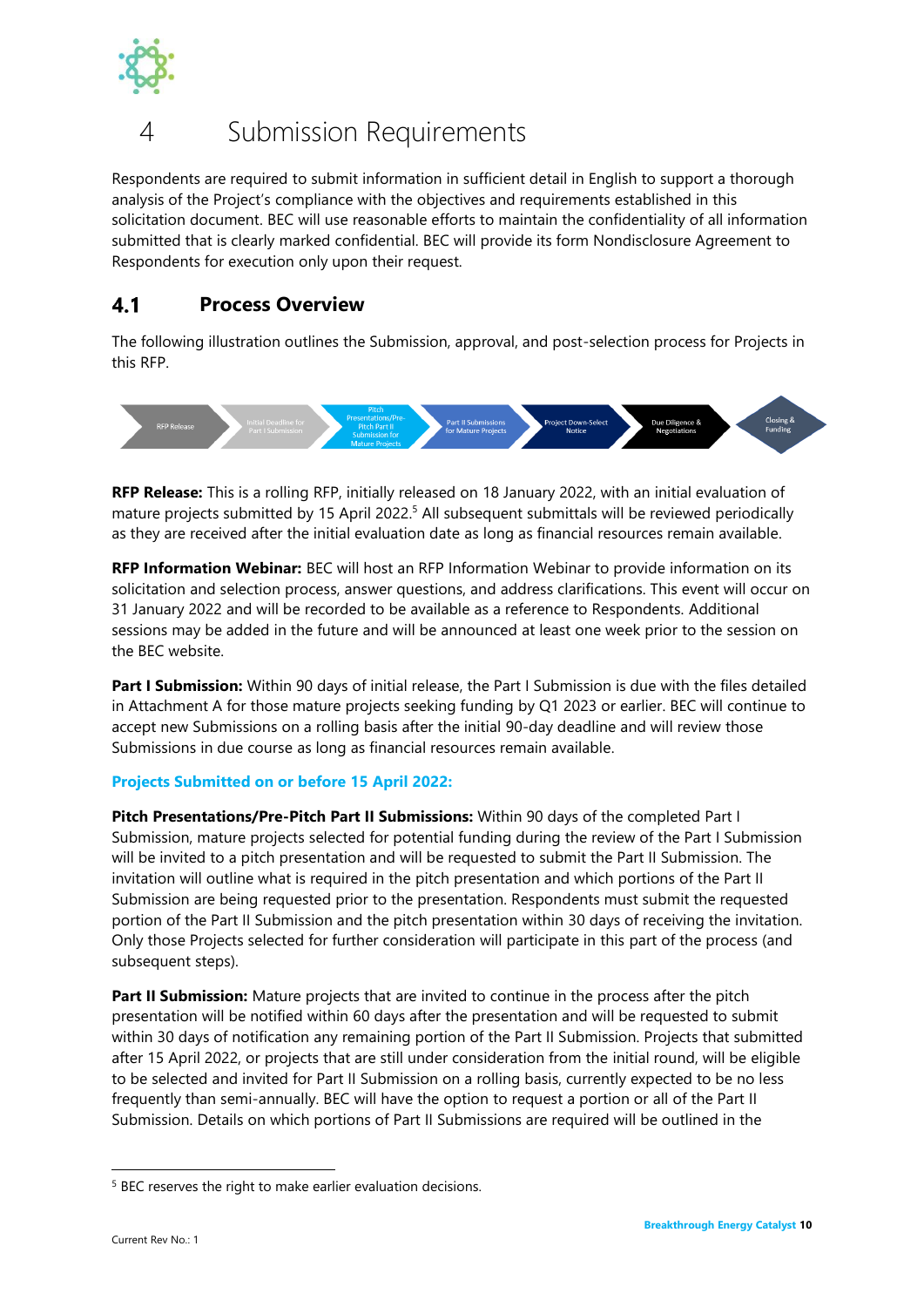

## <span id="page-12-0"></span>Submission Requirements

Respondents are required to submit information in sufficient detail in English to support a thorough analysis of the Project's compliance with the objectives and requirements established in this solicitation document. BEC will use reasonable efforts to maintain the confidentiality of all information submitted that is clearly marked confidential. BEC will provide its form Nondisclosure Agreement to Respondents for execution only upon their request.

#### <span id="page-12-1"></span> $4.1$ **Process Overview**

The following illustration outlines the Submission, approval, and post-selection process for Projects in this RFP.



**RFP Release:** This is a rolling RFP, initially released on 18 January 2022, with an initial evaluation of mature projects submitted by 15 April 2022.<sup>5</sup> All subsequent submittals will be reviewed periodically as they are received after the initial evaluation date as long as financial resources remain available.

**RFP Information Webinar:** BEC will host an RFP Information Webinar to provide information on its solicitation and selection process, answer questions, and address clarifications. This event will occur on 31 January 2022 and will be recorded to be available as a reference to Respondents. Additional sessions may be added in the future and will be announced at least one week prior to the session on the BEC website.

**Part I Submission:** Within 90 days of initial release, the Part I Submission is due with the files detailed in Attachment A for those mature projects seeking funding by Q1 2023 or earlier. BEC will continue to accept new Submissions on a rolling basis after the initial 90-day deadline and will review those Submissions in due course as long as financial resources remain available.

## **Projects Submitted on or before 15 April 2022:**

**Pitch Presentations/Pre-Pitch Part II Submissions:** Within 90 days of the completed Part I Submission, mature projects selected for potential funding during the review of the Part I Submission will be invited to a pitch presentation and will be requested to submit the Part II Submission. The invitation will outline what is required in the pitch presentation and which portions of the Part II Submission are being requested prior to the presentation. Respondents must submit the requested portion of the Part II Submission and the pitch presentation within 30 days of receiving the invitation. Only those Projects selected for further consideration will participate in this part of the process (and subsequent steps).

Part II Submission: Mature projects that are invited to continue in the process after the pitch presentation will be notified within 60 days after the presentation and will be requested to submit within 30 days of notification any remaining portion of the Part II Submission. Projects that submitted after 15 April 2022, or projects that are still under consideration from the initial round, will be eligible to be selected and invited for Part II Submission on a rolling basis, currently expected to be no less frequently than semi-annually. BEC will have the option to request a portion or all of the Part II Submission. Details on which portions of Part II Submissions are required will be outlined in the

<sup>&</sup>lt;sup>5</sup> BEC reserves the right to make earlier evaluation decisions.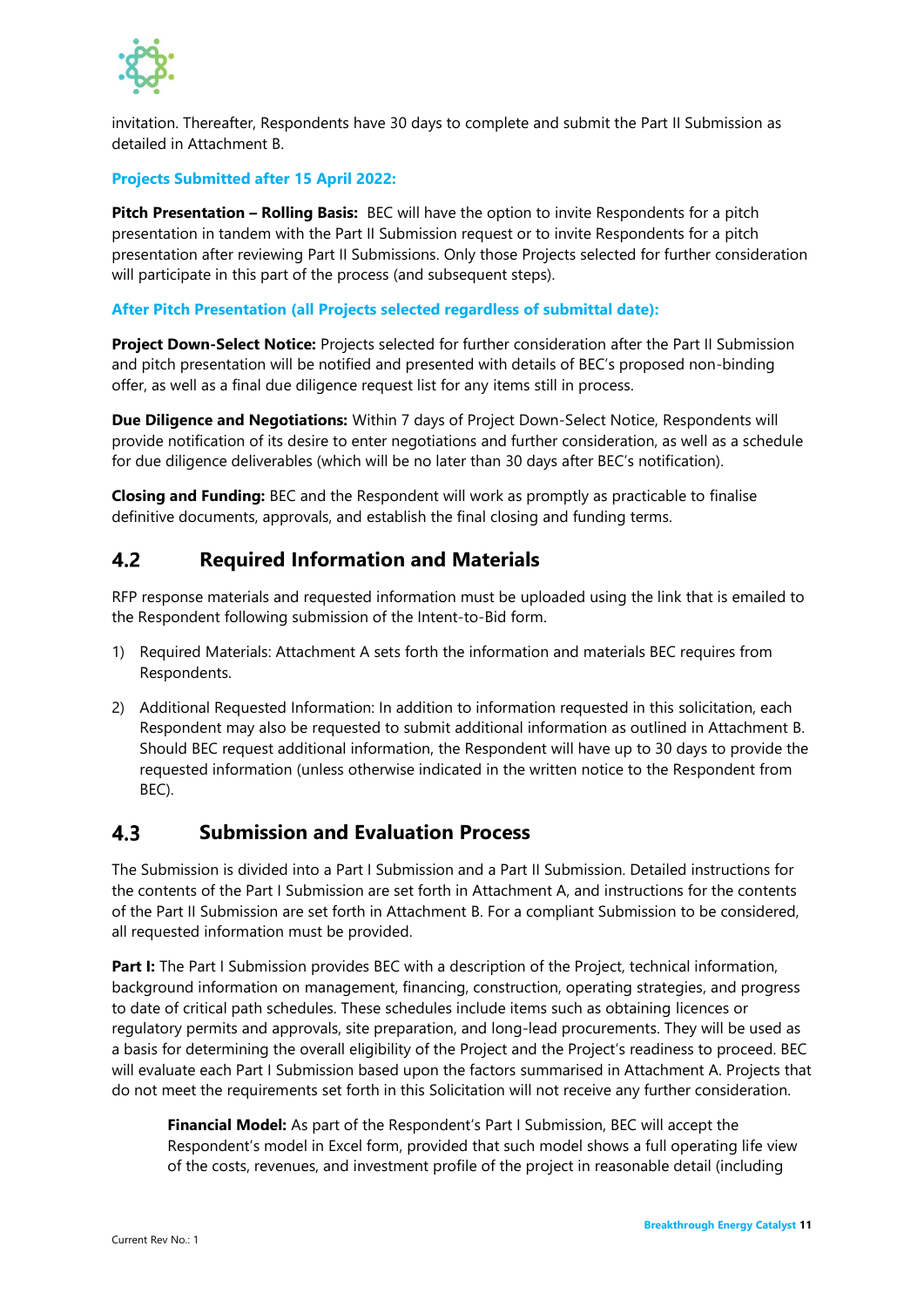

invitation. Thereafter, Respondents have 30 days to complete and submit the Part II Submission as detailed in Attachment B.

## **Projects Submitted after 15 April 2022:**

**Pitch Presentation – Rolling Basis:** BEC will have the option to invite Respondents for a pitch presentation in tandem with the Part II Submission request or to invite Respondents for a pitch presentation after reviewing Part II Submissions. Only those Projects selected for further consideration will participate in this part of the process (and subsequent steps).

### **After Pitch Presentation (all Projects selected regardless of submittal date):**

**Project Down-Select Notice:** Projects selected for further consideration after the Part II Submission and pitch presentation will be notified and presented with details of BEC's proposed non-binding offer, as well as a final due diligence request list for any items still in process.

**Due Diligence and Negotiations:** Within 7 days of Project Down-Select Notice, Respondents will provide notification of its desire to enter negotiations and further consideration, as well as a schedule for due diligence deliverables (which will be no later than 30 days after BEC's notification).

**Closing and Funding:** BEC and the Respondent will work as promptly as practicable to finalise definitive documents, approvals, and establish the final closing and funding terms.

#### <span id="page-13-0"></span> $4.2$ **Required Information and Materials**

RFP response materials and requested information must be uploaded using the link that is emailed to the Respondent following submission of the Intent-to-Bid form.

- 1) Required Materials: Attachment A sets forth the information and materials BEC requires from Respondents.
- 2) Additional Requested Information: In addition to information requested in this solicitation, each Respondent may also be requested to submit additional information as outlined in Attachment B. Should BEC request additional information, the Respondent will have up to 30 days to provide the requested information (unless otherwise indicated in the written notice to the Respondent from BEC).

#### <span id="page-13-1"></span> $4.3$ **Submission and Evaluation Process**

The Submission is divided into a Part I Submission and a Part II Submission. Detailed instructions for the contents of the Part I Submission are set forth in Attachment A, and instructions for the contents of the Part II Submission are set forth in Attachment B. For a compliant Submission to be considered, all requested information must be provided.

**Part I:** The Part I Submission provides BEC with a description of the Project, technical information, background information on management, financing, construction, operating strategies, and progress to date of critical path schedules. These schedules include items such as obtaining licences or regulatory permits and approvals, site preparation, and long-lead procurements. They will be used as a basis for determining the overall eligibility of the Project and the Project's readiness to proceed. BEC will evaluate each Part I Submission based upon the factors summarised in Attachment A. Projects that do not meet the requirements set forth in this Solicitation will not receive any further consideration.

**Financial Model:** As part of the Respondent's Part I Submission, BEC will accept the Respondent's model in Excel form, provided that such model shows a full operating life view of the costs, revenues, and investment profile of the project in reasonable detail (including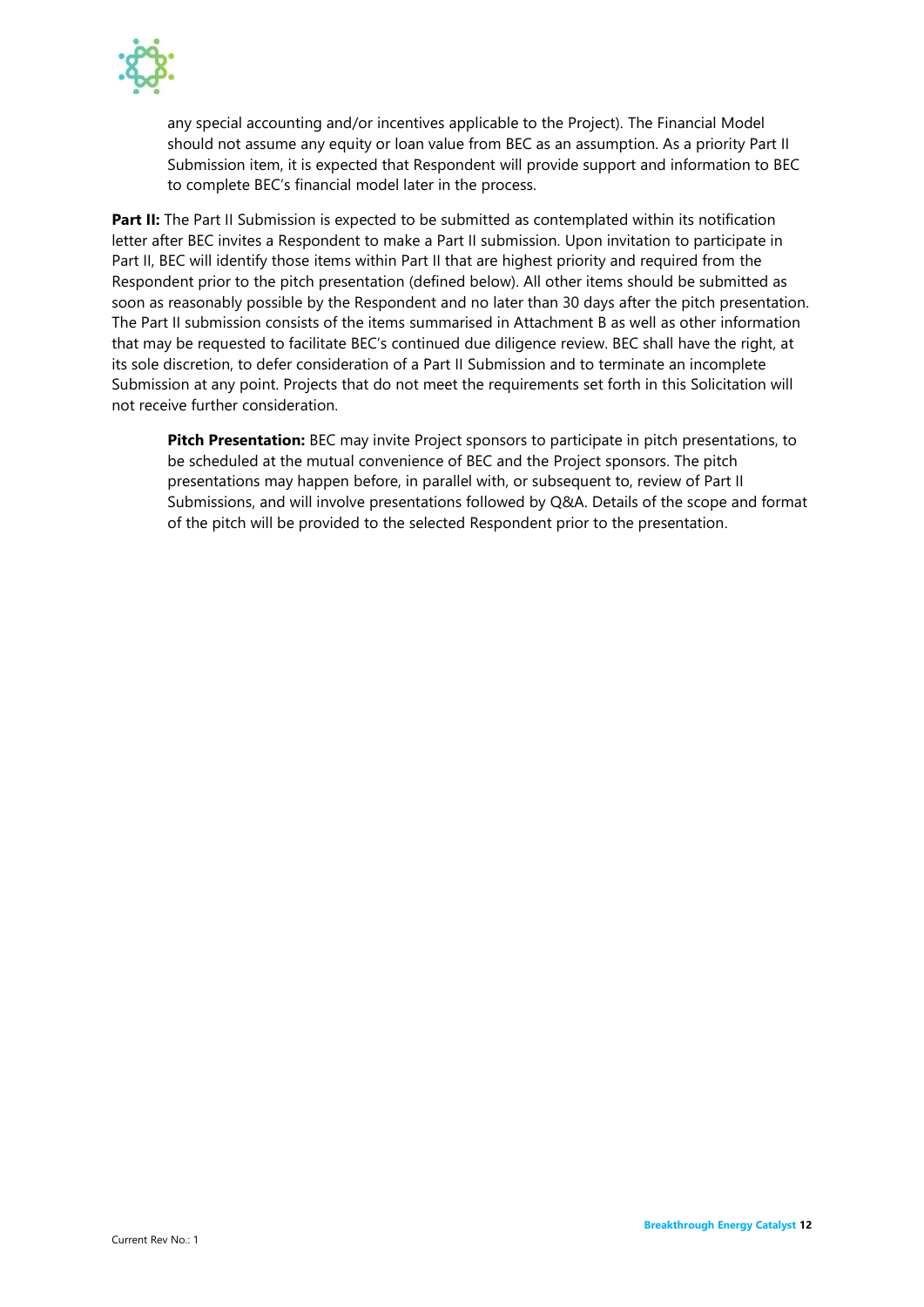

any special accounting and/or incentives applicable to the Project). The Financial Model should not assume any equity or loan value from BEC as an assumption. As a priority Part II Submission item, it is expected that Respondent will provide support and information to BEC to complete BEC's financial model later in the process.

Part II: The Part II Submission is expected to be submitted as contemplated within its notification letter after BEC invites a Respondent to make a Part II submission. Upon invitation to participate in Part II, BEC will identify those items within Part II that are highest priority and required from the Respondent prior to the pitch presentation (defined below). All other items should be submitted as soon as reasonably possible by the Respondent and no later than 30 days after the pitch presentation. The Part II submission consists of the items summarised in Attachment B as well as other information that may be requested to facilitate BEC's continued due diligence review. BEC shall have the right, at its sole discretion, to defer consideration of a Part II Submission and to terminate an incomplete Submission at any point. Projects that do not meet the requirements set forth in this Solicitation will not receive further consideration.

**Pitch Presentation:** BEC may invite Project sponsors to participate in pitch presentations, to be scheduled at the mutual convenience of BEC and the Project sponsors. The pitch presentations may happen before, in parallel with, or subsequent to, review of Part II Submissions, and will involve presentations followed by Q&A. Details of the scope and format of the pitch will be provided to the selected Respondent prior to the presentation.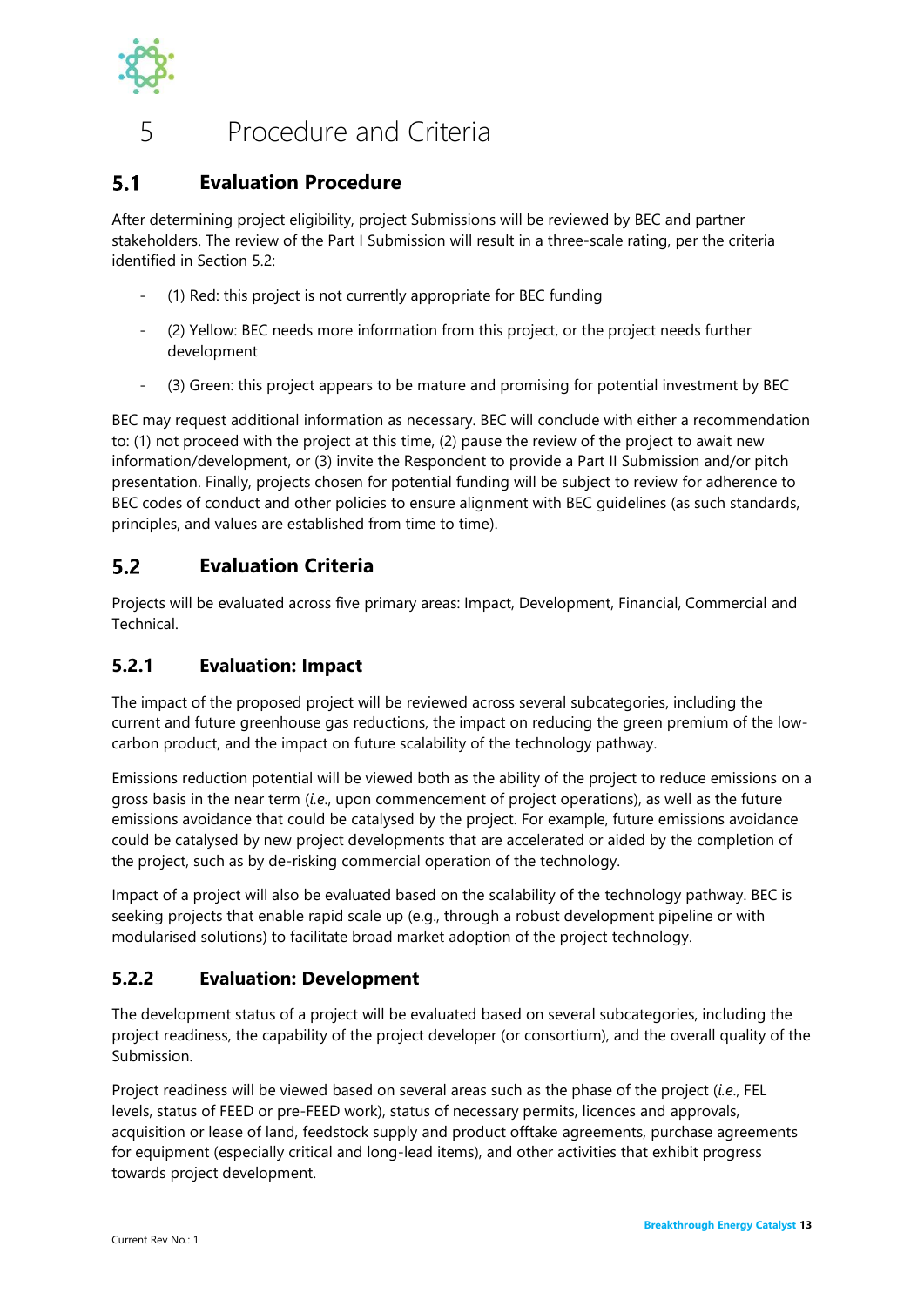

## <span id="page-15-0"></span>5 Procedure and Criteria

#### <span id="page-15-1"></span> $5.1$ **Evaluation Procedure**

After determining project eligibility, project Submissions will be reviewed by BEC and partner stakeholders. The review of the Part I Submission will result in a three-scale rating, per the criteria identified in Section [5.2:](#page-15-2)

- (1) Red: this project is not currently appropriate for BEC funding
- (2) Yellow: BEC needs more information from this project, or the project needs further development
- (3) Green: this project appears to be mature and promising for potential investment by BEC

BEC may request additional information as necessary. BEC will conclude with either a recommendation to: (1) not proceed with the project at this time, (2) pause the review of the project to await new information/development, or (3) invite the Respondent to provide a Part II Submission and/or pitch presentation. Finally, projects chosen for potential funding will be subject to review for adherence to BEC codes of conduct and other policies to ensure alignment with BEC guidelines (as such standards, principles, and values are established from time to time).

#### <span id="page-15-2"></span> $5.2$ **Evaluation Criteria**

Projects will be evaluated across five primary areas: Impact, Development, Financial, Commercial and **Technical** 

## <span id="page-15-3"></span>**5.2.1 Evaluation: Impact**

The impact of the proposed project will be reviewed across several subcategories, including the current and future greenhouse gas reductions, the impact on reducing the green premium of the lowcarbon product, and the impact on future scalability of the technology pathway.

Emissions reduction potential will be viewed both as the ability of the project to reduce emissions on a gross basis in the near term (*i.e*., upon commencement of project operations), as well as the future emissions avoidance that could be catalysed by the project. For example, future emissions avoidance could be catalysed by new project developments that are accelerated or aided by the completion of the project, such as by de-risking commercial operation of the technology.

Impact of a project will also be evaluated based on the scalability of the technology pathway. BEC is seeking projects that enable rapid scale up (e.g., through a robust development pipeline or with modularised solutions) to facilitate broad market adoption of the project technology.

## <span id="page-15-4"></span>**5.2.2 Evaluation: Development**

The development status of a project will be evaluated based on several subcategories, including the project readiness, the capability of the project developer (or consortium), and the overall quality of the Submission.

Project readiness will be viewed based on several areas such as the phase of the project (*i.e*., FEL levels, status of FEED or pre-FEED work), status of necessary permits, licences and approvals, acquisition or lease of land, feedstock supply and product offtake agreements, purchase agreements for equipment (especially critical and long-lead items), and other activities that exhibit progress towards project development.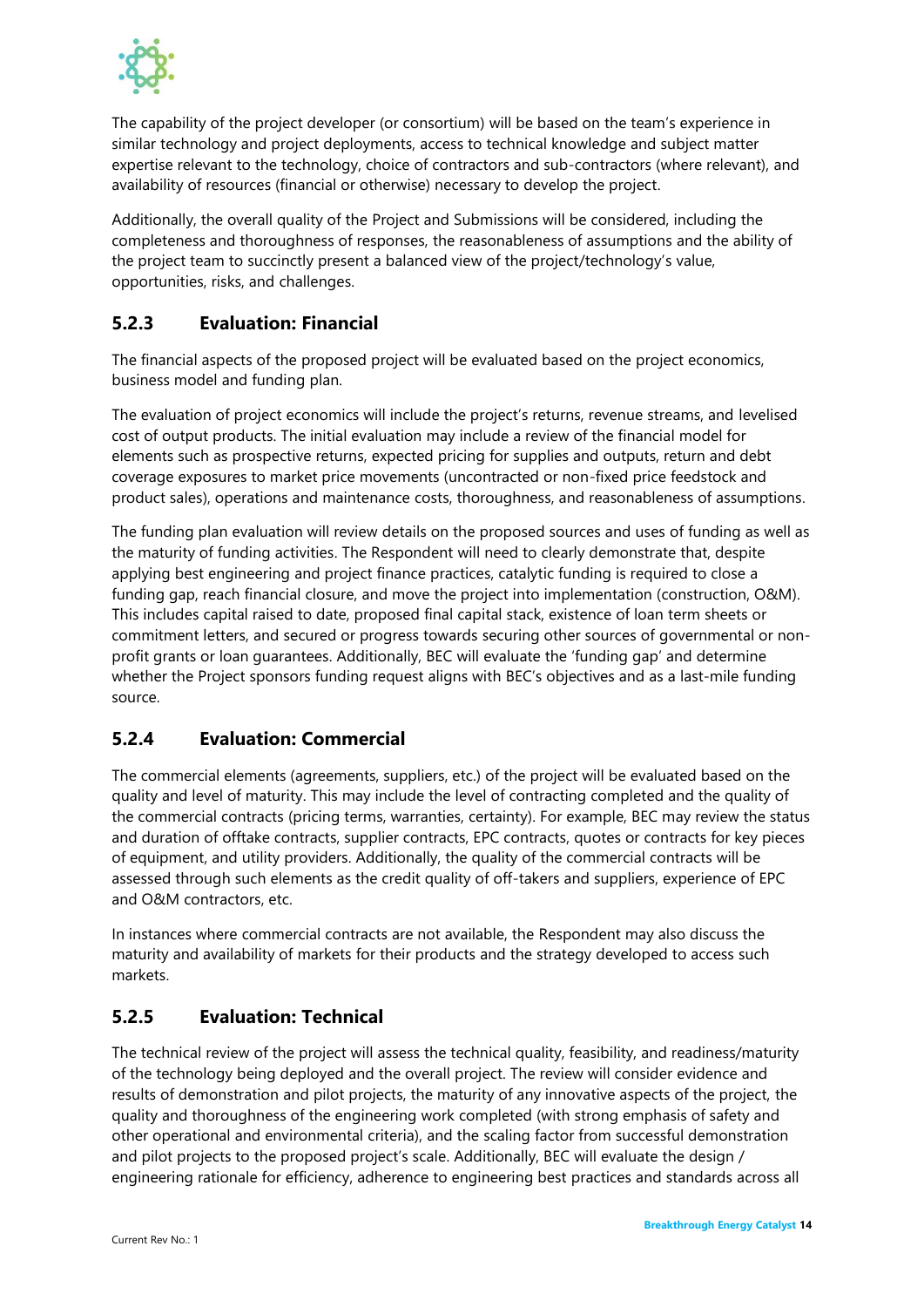

The capability of the project developer (or consortium) will be based on the team's experience in similar technology and project deployments, access to technical knowledge and subject matter expertise relevant to the technology, choice of contractors and sub-contractors (where relevant), and availability of resources (financial or otherwise) necessary to develop the project.

Additionally, the overall quality of the Project and Submissions will be considered, including the completeness and thoroughness of responses, the reasonableness of assumptions and the ability of the project team to succinctly present a balanced view of the project/technology's value, opportunities, risks, and challenges.

## <span id="page-16-0"></span>**5.2.3 Evaluation: Financial**

The financial aspects of the proposed project will be evaluated based on the project economics, business model and funding plan.

The evaluation of project economics will include the project's returns, revenue streams, and levelised cost of output products. The initial evaluation may include a review of the financial model for elements such as prospective returns, expected pricing for supplies and outputs, return and debt coverage exposures to market price movements (uncontracted or non-fixed price feedstock and product sales), operations and maintenance costs, thoroughness, and reasonableness of assumptions.

The funding plan evaluation will review details on the proposed sources and uses of funding as well as the maturity of funding activities. The Respondent will need to clearly demonstrate that, despite applying best engineering and project finance practices, catalytic funding is required to close a funding gap, reach financial closure, and move the project into implementation (construction, O&M). This includes capital raised to date, proposed final capital stack, existence of loan term sheets or commitment letters, and secured or progress towards securing other sources of governmental or nonprofit grants or loan guarantees. Additionally, BEC will evaluate the 'funding gap' and determine whether the Project sponsors funding request aligns with BEC's objectives and as a last-mile funding source.

## <span id="page-16-1"></span>**5.2.4 Evaluation: Commercial**

The commercial elements (agreements, suppliers, etc.) of the project will be evaluated based on the quality and level of maturity. This may include the level of contracting completed and the quality of the commercial contracts (pricing terms, warranties, certainty). For example, BEC may review the status and duration of offtake contracts, supplier contracts, EPC contracts, quotes or contracts for key pieces of equipment, and utility providers. Additionally, the quality of the commercial contracts will be assessed through such elements as the credit quality of off-takers and suppliers, experience of EPC and O&M contractors, etc.

In instances where commercial contracts are not available, the Respondent may also discuss the maturity and availability of markets for their products and the strategy developed to access such markets.

## <span id="page-16-2"></span>**5.2.5 Evaluation: Technical**

The technical review of the project will assess the technical quality, feasibility, and readiness/maturity of the technology being deployed and the overall project. The review will consider evidence and results of demonstration and pilot projects, the maturity of any innovative aspects of the project, the quality and thoroughness of the engineering work completed (with strong emphasis of safety and other operational and environmental criteria), and the scaling factor from successful demonstration and pilot projects to the proposed project's scale. Additionally, BEC will evaluate the design / engineering rationale for efficiency, adherence to engineering best practices and standards across all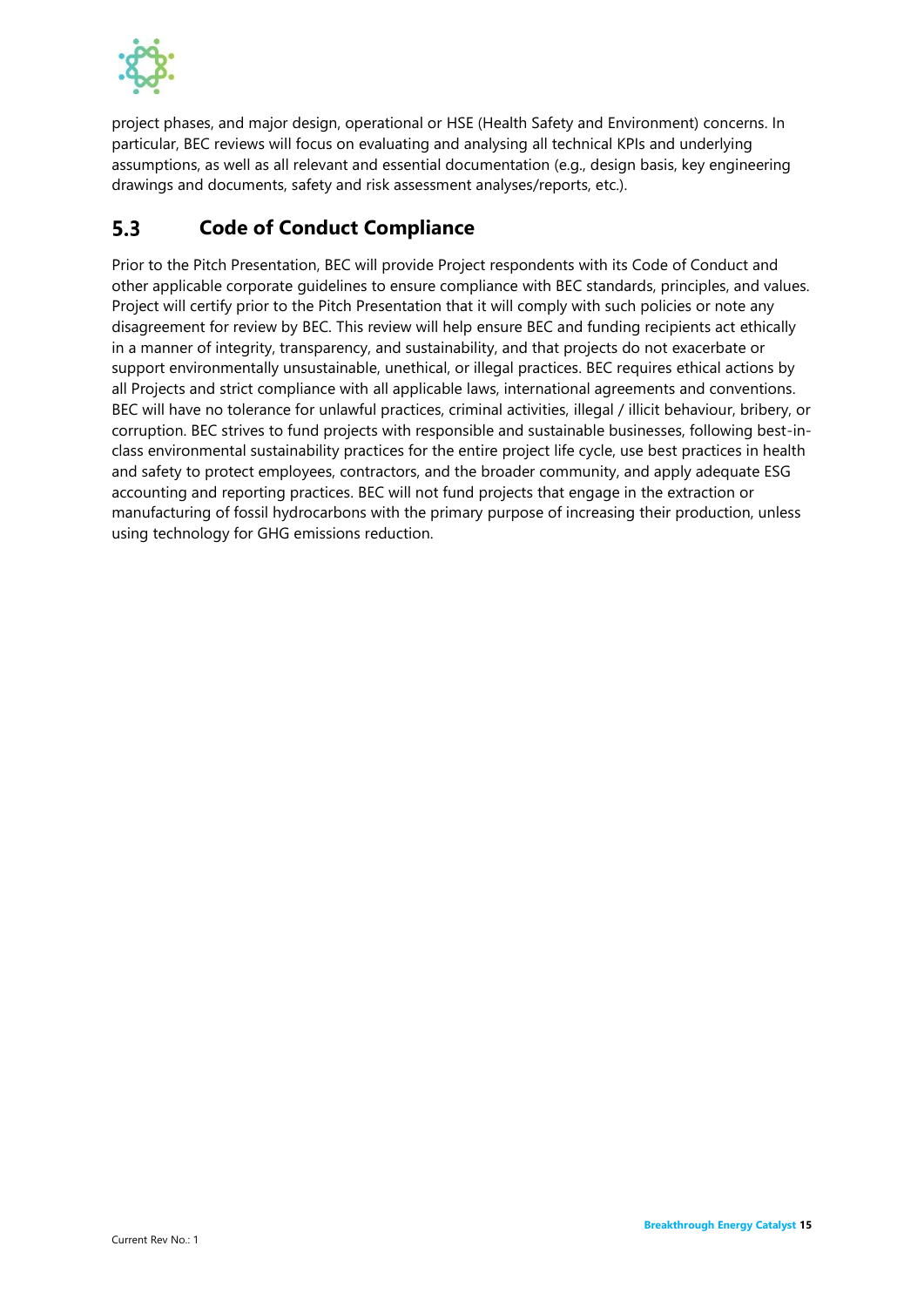

project phases, and major design, operational or HSE (Health Safety and Environment) concerns. In particular, BEC reviews will focus on evaluating and analysing all technical KPIs and underlying assumptions, as well as all relevant and essential documentation (e.g., design basis, key engineering drawings and documents, safety and risk assessment analyses/reports, etc.).

#### <span id="page-17-0"></span> $5.3$ **Code of Conduct Compliance**

Prior to the Pitch Presentation, BEC will provide Project respondents with its Code of Conduct and other applicable corporate guidelines to ensure compliance with BEC standards, principles, and values. Project will certify prior to the Pitch Presentation that it will comply with such policies or note any disagreement for review by BEC. This review will help ensure BEC and funding recipients act ethically in a manner of integrity, transparency, and sustainability, and that projects do not exacerbate or support environmentally unsustainable, unethical, or illegal practices. BEC requires ethical actions by all Projects and strict compliance with all applicable laws, international agreements and conventions. BEC will have no tolerance for unlawful practices, criminal activities, illegal / illicit behaviour, bribery, or corruption. BEC strives to fund projects with responsible and sustainable businesses, following best-inclass environmental sustainability practices for the entire project life cycle, use best practices in health and safety to protect employees, contractors, and the broader community, and apply adequate ESG accounting and reporting practices. BEC will not fund projects that engage in the extraction or manufacturing of fossil hydrocarbons with the primary purpose of increasing their production, unless using technology for GHG emissions reduction.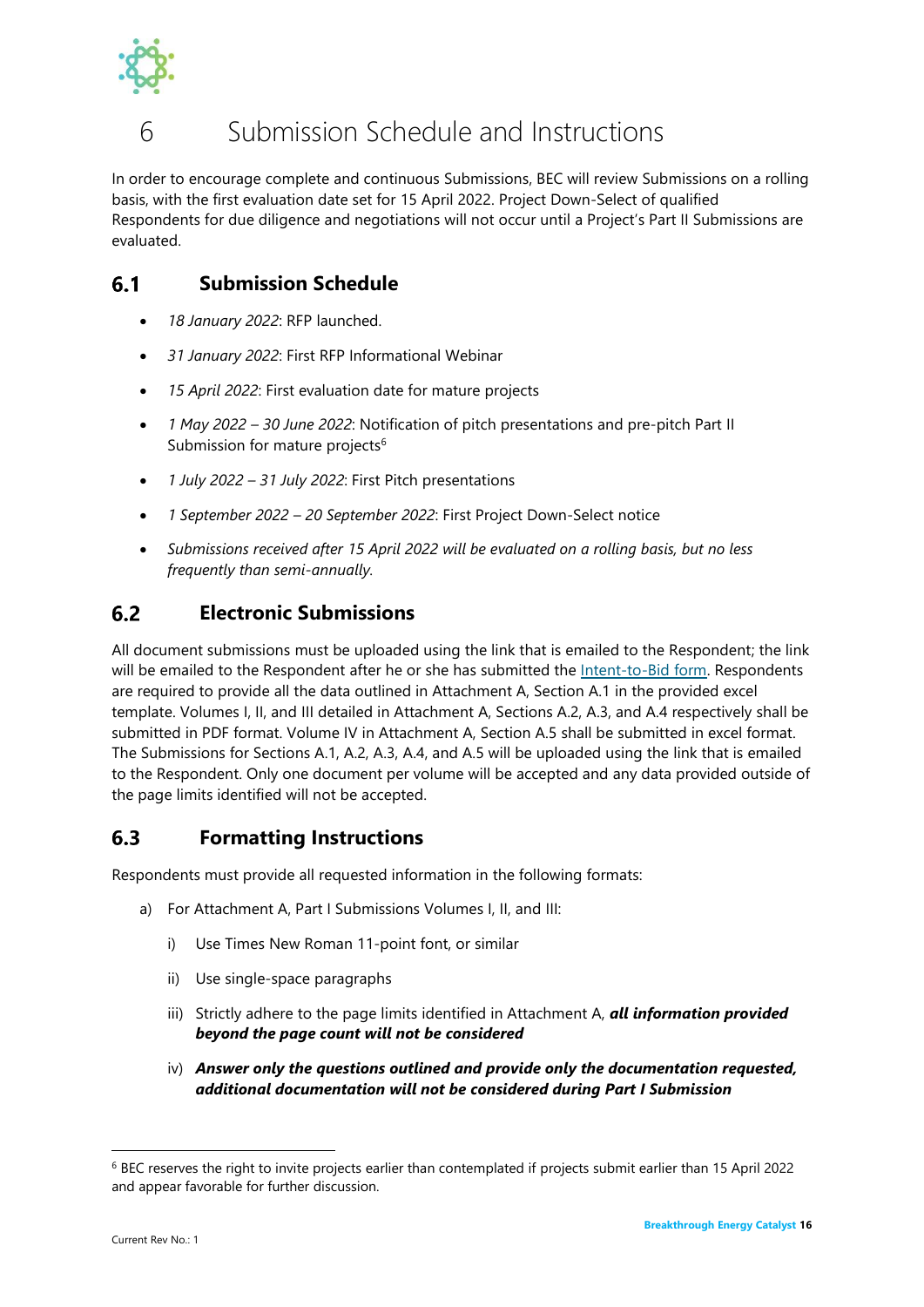

## <span id="page-18-0"></span>6 Submission Schedule and Instructions

In order to encourage complete and continuous Submissions, BEC will review Submissions on a rolling basis, with the first evaluation date set for 15 April 2022. Project Down-Select of qualified Respondents for due diligence and negotiations will not occur until a Project's Part II Submissions are evaluated.

#### <span id="page-18-1"></span> $6.1$ **Submission Schedule**

- *18 January 2022*: RFP launched.
- *31 January 2022*: First RFP Informational Webinar
- *15 April 2022*: First evaluation date for mature projects
- *1 May 2022 – 30 June 2022*: Notification of pitch presentations and pre-pitch Part II Submission for mature projects<sup>6</sup>
- *1 July 2022 – 31 July 2022*: First Pitch presentations
- *1 September 2022 – 20 September 2022*: First Project Down-Select notice
- *Submissions received after 15 April 2022 will be evaluated on a rolling basis, but no less frequently than semi-annually.*

#### <span id="page-18-2"></span> $6.2$ **Electronic Submissions**

All document submissions must be uploaded using the link that is emailed to the Respondent; the link will be emailed to the Respondent after he or she has submitted the **Intent-to-Bid form**. Respondents are required to provide all the data outlined in Attachment A, Section A.1 in the provided excel template. Volumes I, II, and III detailed in Attachment A, Sections A.2, A.3, and A.4 respectively shall be submitted in PDF format. Volume IV in Attachment A, Section A.5 shall be submitted in excel format. The Submissions for Sections A.1, A.2, A.3, A.4, and A.5 will be uploaded using the link that is emailed to the Respondent. Only one document per volume will be accepted and any data provided outside of the page limits identified will not be accepted.

#### <span id="page-18-3"></span>6.3 **Formatting Instructions**

Respondents must provide all requested information in the following formats:

- a) For Attachment A, Part I Submissions Volumes I, II, and III:
	- i) Use Times New Roman 11-point font, or similar
	- ii) Use single-space paragraphs
	- iii) Strictly adhere to the page limits identified in Attachment A, *all information provided beyond the page count will not be considered*
	- iv) *Answer only the questions outlined and provide only the documentation requested, additional documentation will not be considered during Part I Submission*

<sup>6</sup> BEC reserves the right to invite projects earlier than contemplated if projects submit earlier than 15 April 2022 and appear favorable for further discussion.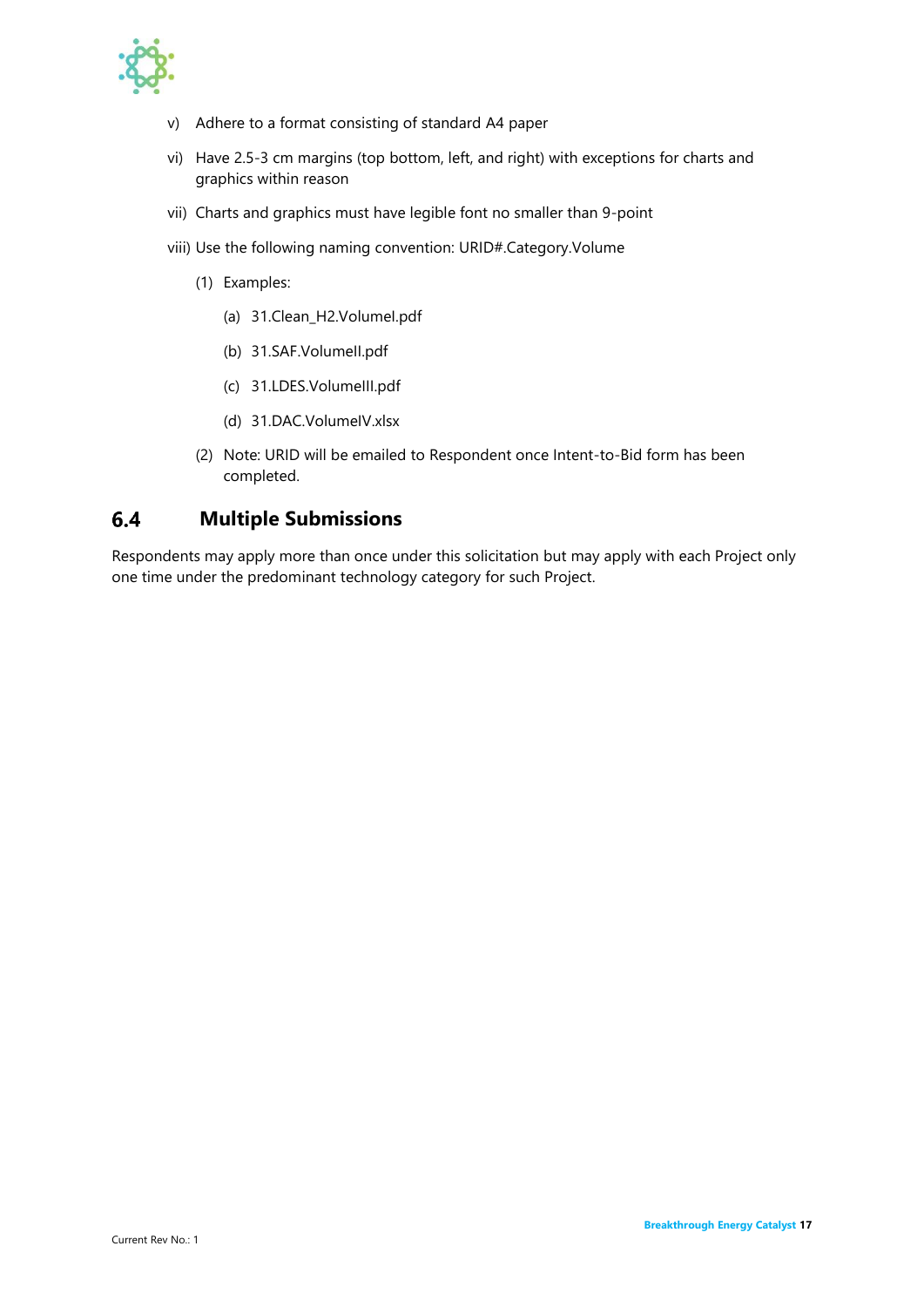

- v) Adhere to a format consisting of standard A4 paper
- vi) Have 2.5-3 cm margins (top bottom, left, and right) with exceptions for charts and graphics within reason
- vii) Charts and graphics must have legible font no smaller than 9-point
- viii) Use the following naming convention: URID#.Category.Volume
	- (1) Examples:
		- (a) 31.Clean\_H2.VolumeI.pdf
		- (b) 31.SAF.VolumeII.pdf
		- (c) 31.LDES.VolumeIII.pdf
		- (d) 31.DAC.VolumeIV.xlsx
	- (2) Note: URID will be emailed to Respondent once Intent-to-Bid form has been completed.

#### <span id="page-19-0"></span> $6.4$ **Multiple Submissions**

Respondents may apply more than once under this solicitation but may apply with each Project only one time under the predominant technology category for such Project.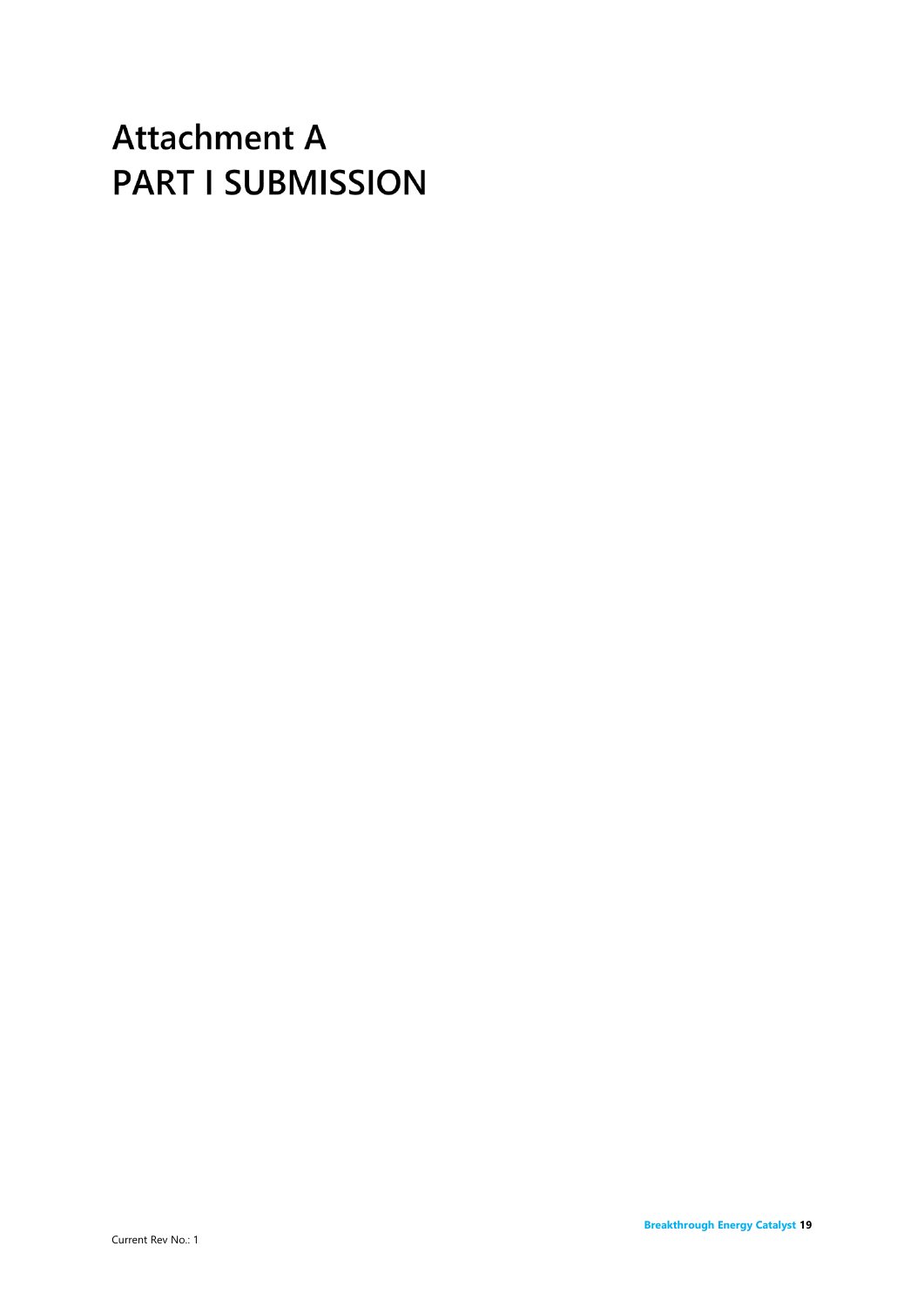# **Attachment A PART I SUBMISSION**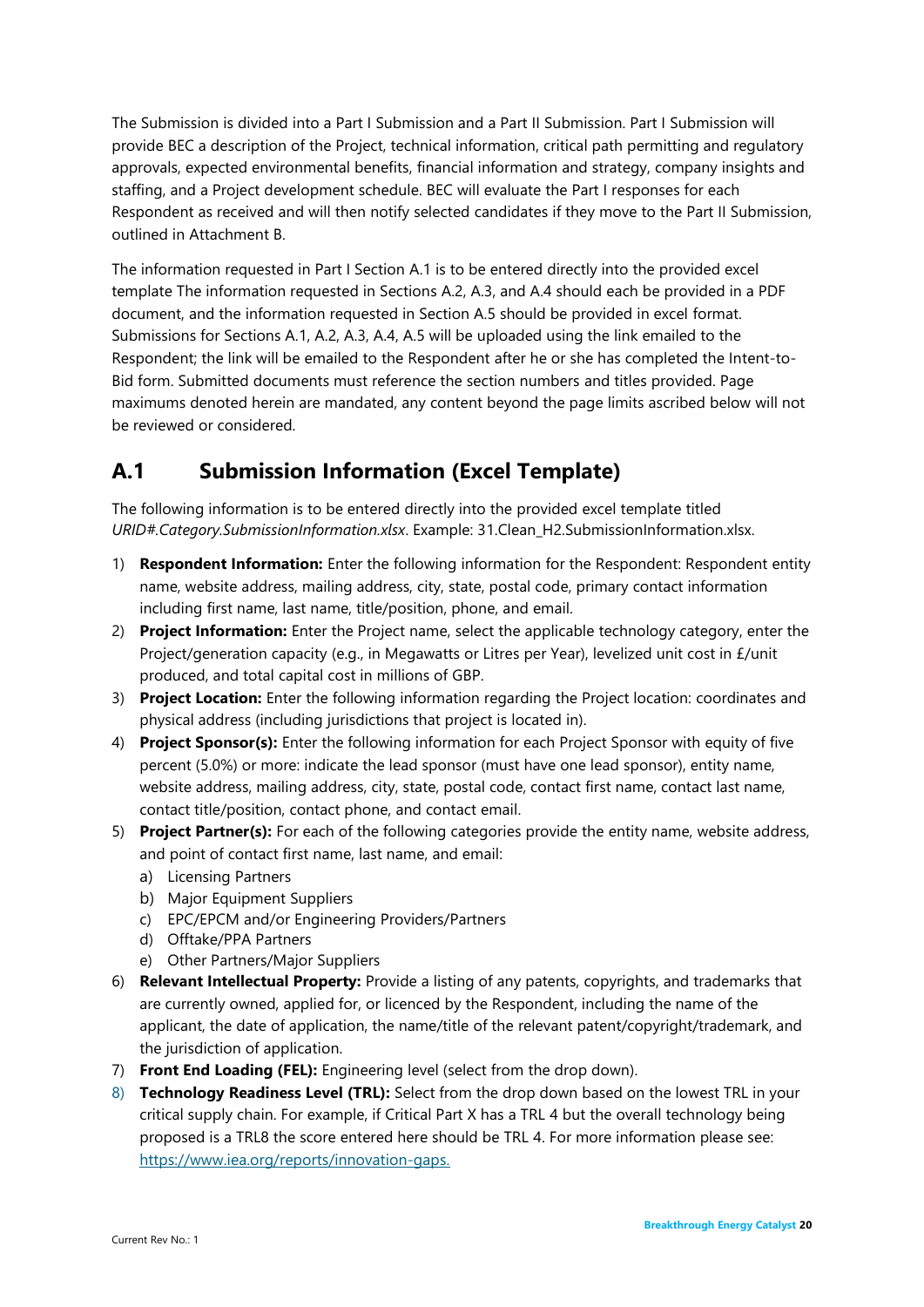The Submission is divided into a Part I Submission and a Part II Submission. Part I Submission will provide BEC a description of the Project, technical information, critical path permitting and regulatory approvals, expected environmental benefits, financial information and strategy, company insights and staffing, and a Project development schedule. BEC will evaluate the Part I responses for each Respondent as received and will then notify selected candidates if they move to the Part II Submission, outlined in Attachment B.

The information requested in Part I Section A.1 is to be entered directly into the provided excel template The information requested in Sections A.2, A.3, and A.4 should each be provided in a PDF document, and the information requested in Section A.5 should be provided in excel format. Submissions for Sections A.1, A.2, A.3, A.4, A.5 will be uploaded using the link emailed to the Respondent; the link will be emailed to the Respondent after he or she has completed the Intent-to-Bid form. Submitted documents must reference the section numbers and titles provided. Page maximums denoted herein are mandated, any content beyond the page limits ascribed below will not be reviewed or considered.

## <span id="page-22-0"></span>**A.1 Submission Information (Excel Template)**

The following information is to be entered directly into the provided excel template titled *URID#.Category.SubmissionInformation.xlsx*. Example: 31.Clean\_H2.SubmissionInformation.xlsx.

- 1) **Respondent Information:** Enter the following information for the Respondent: Respondent entity name, website address, mailing address, city, state, postal code, primary contact information including first name, last name, title/position, phone, and email.
- 2) **Project Information:** Enter the Project name, select the applicable technology category, enter the Project/generation capacity (e.g., in Megawatts or Litres per Year), levelized unit cost in £/unit produced, and total capital cost in millions of GBP.
- 3) **Project Location:** Enter the following information regarding the Project location: coordinates and physical address (including jurisdictions that project is located in).
- 4) **Project Sponsor(s):** Enter the following information for each Project Sponsor with equity of five percent (5.0%) or more: indicate the lead sponsor (must have one lead sponsor), entity name, website address, mailing address, city, state, postal code, contact first name, contact last name, contact title/position, contact phone, and contact email.
- 5) **Project Partner(s):** For each of the following categories provide the entity name, website address, and point of contact first name, last name, and email:
	- a) Licensing Partners
	- b) Major Equipment Suppliers
	- c) EPC/EPCM and/or Engineering Providers/Partners
	- d) Offtake/PPA Partners
	- e) Other Partners/Major Suppliers
- 6) **Relevant Intellectual Property:** Provide a listing of any patents, copyrights, and trademarks that are currently owned, applied for, or licenced by the Respondent, including the name of the applicant, the date of application, the name/title of the relevant patent/copyright/trademark, and the jurisdiction of application.
- 7) **Front End Loading (FEL):** Engineering level (select from the drop down).
- 8) **Technology Readiness Level (TRL):** Select from the drop down based on the lowest TRL in your critical supply chain. For example, if Critical Part X has a TRL 4 but the overall technology being proposed is a TRL8 the score entered here should be TRL 4. For more information please see: [https://www.iea.org/reports/innovation-gaps.](https://www.iea.org/reports/innovation-gaps)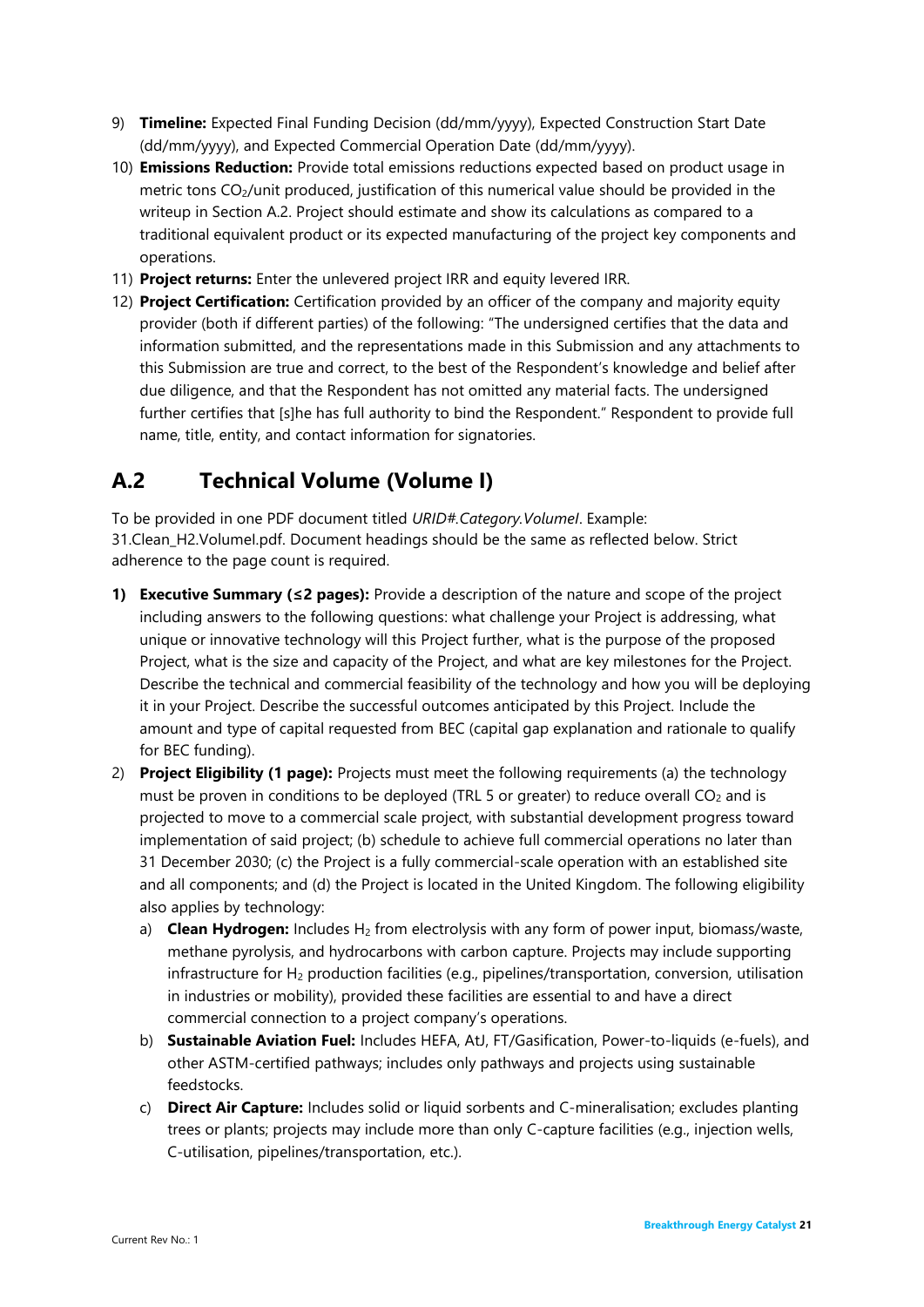- 9) **Timeline:** Expected Final Funding Decision (dd/mm/yyyy), Expected Construction Start Date (dd/mm/yyyy), and Expected Commercial Operation Date (dd/mm/yyyy).
- 10) **Emissions Reduction:** Provide total emissions reductions expected based on product usage in metric tons CO2/unit produced, justification of this numerical value should be provided in the writeup in Section A.2. Project should estimate and show its calculations as compared to a traditional equivalent product or its expected manufacturing of the project key components and operations.
- 11) **Project returns:** Enter the unlevered project IRR and equity levered IRR.
- 12) **Project Certification:** Certification provided by an officer of the company and majority equity provider (both if different parties) of the following: "The undersigned certifies that the data and information submitted, and the representations made in this Submission and any attachments to this Submission are true and correct, to the best of the Respondent's knowledge and belief after due diligence, and that the Respondent has not omitted any material facts. The undersigned further certifies that [s]he has full authority to bind the Respondent." Respondent to provide full name, title, entity, and contact information for signatories.

## <span id="page-23-0"></span>**A.2 Technical Volume (Volume I)**

To be provided in one PDF document titled *URID#.Category.VolumeI*. Example: 31.Clean\_H2.VolumeI.pdf. Document headings should be the same as reflected below. Strict adherence to the page count is required.

- **1) Executive Summary (≤2 pages):** Provide a description of the nature and scope of the project including answers to the following questions: what challenge your Project is addressing, what unique or innovative technology will this Project further, what is the purpose of the proposed Project, what is the size and capacity of the Project, and what are key milestones for the Project. Describe the technical and commercial feasibility of the technology and how you will be deploying it in your Project. Describe the successful outcomes anticipated by this Project. Include the amount and type of capital requested from BEC (capital gap explanation and rationale to qualify for BEC funding).
- 2) **Project Eligibility (1 page):** Projects must meet the following requirements (a) the technology must be proven in conditions to be deployed (TRL 5 or greater) to reduce overall  $CO<sub>2</sub>$  and is projected to move to a commercial scale project, with substantial development progress toward implementation of said project; (b) schedule to achieve full commercial operations no later than 31 December 2030; (c) the Project is a fully commercial-scale operation with an established site and all components; and (d) the Project is located in the United Kingdom. The following eligibility also applies by technology:
	- a) **Clean Hydrogen:** Includes H<sup>2</sup> from electrolysis with any form of power input, biomass/waste, methane pyrolysis, and hydrocarbons with carbon capture. Projects may include supporting infrastructure for  $H_2$  production facilities (e.g., pipelines/transportation, conversion, utilisation in industries or mobility), provided these facilities are essential to and have a direct commercial connection to a project company's operations.
	- b) **Sustainable Aviation Fuel:** Includes HEFA, AtJ, FT/Gasification, Power-to-liquids (e-fuels), and other ASTM-certified pathways; includes only pathways and projects using sustainable feedstocks.
	- c) **Direct Air Capture:** Includes solid or liquid sorbents and C-mineralisation; excludes planting trees or plants; projects may include more than only C-capture facilities (e.g., injection wells, C-utilisation, pipelines/transportation, etc.).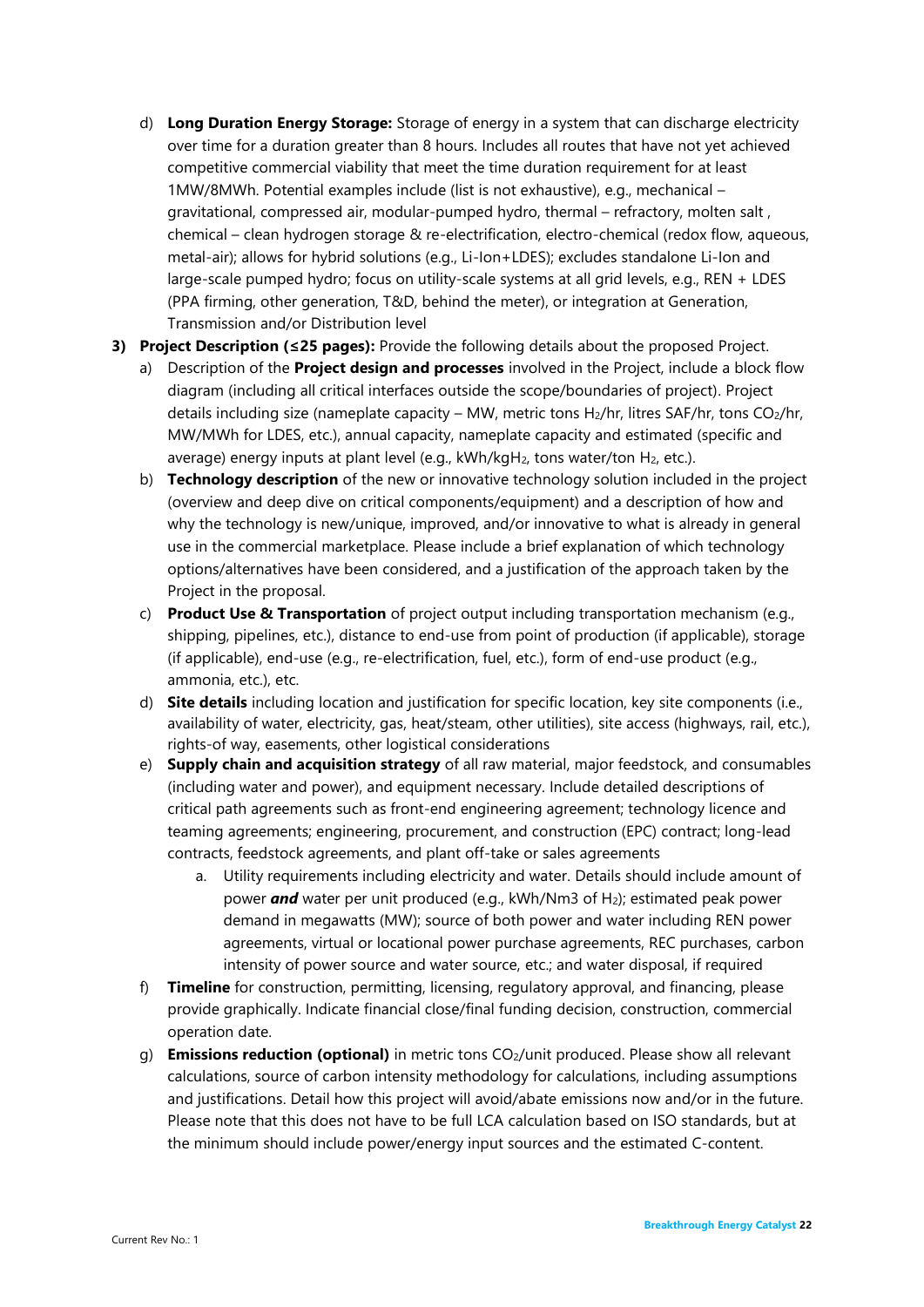- d) **Long Duration Energy Storage:** Storage of energy in a system that can discharge electricity over time for a duration greater than 8 hours. Includes all routes that have not yet achieved competitive commercial viability that meet the time duration requirement for at least 1MW/8MWh. Potential examples include (list is not exhaustive), e.g., mechanical – gravitational, compressed air, modular-pumped hydro, thermal – refractory, molten salt , chemical – clean hydrogen storage & re-electrification, electro-chemical (redox flow, aqueous, metal-air); allows for hybrid solutions (e.g., Li-Ion+LDES); excludes standalone Li-Ion and large-scale pumped hydro; focus on utility-scale systems at all grid levels, e.g., REN + LDES (PPA firming, other generation, T&D, behind the meter), or integration at Generation, Transmission and/or Distribution level
- **3) Project Description (≤25 pages):** Provide the following details about the proposed Project.
	- a) Description of the **Project design and processes** involved in the Project, include a block flow diagram (including all critical interfaces outside the scope/boundaries of project). Project details including size (nameplate capacity – MW, metric tons H<sub>2</sub>/hr, litres SAF/hr, tons CO<sub>2</sub>/hr, MW/MWh for LDES, etc.), annual capacity, nameplate capacity and estimated (specific and average) energy inputs at plant level (e.g.,  $kWh/kgH_2$ , tons water/ton  $H_2$ , etc.).
	- b) **Technology description** of the new or innovative technology solution included in the project (overview and deep dive on critical components/equipment) and a description of how and why the technology is new/unique, improved, and/or innovative to what is already in general use in the commercial marketplace. Please include a brief explanation of which technology options/alternatives have been considered, and a justification of the approach taken by the Project in the proposal.
	- c) **Product Use & Transportation** of project output including transportation mechanism (e.g., shipping, pipelines, etc.), distance to end-use from point of production (if applicable), storage (if applicable), end-use (e.g., re-electrification, fuel, etc.), form of end-use product (e.g., ammonia, etc.), etc.
	- d) **Site details** including location and justification for specific location, key site components (i.e., availability of water, electricity, gas, heat/steam, other utilities), site access (highways, rail, etc.), rights-of way, easements, other logistical considerations
	- e) **Supply chain and acquisition strategy** of all raw material, major feedstock, and consumables (including water and power), and equipment necessary. Include detailed descriptions of critical path agreements such as front-end engineering agreement; technology licence and teaming agreements; engineering, procurement, and construction (EPC) contract; long-lead contracts, feedstock agreements, and plant off-take or sales agreements
		- a. Utility requirements including electricity and water. Details should include amount of power **and** water per unit produced (e.g., kWh/Nm3 of H<sub>2</sub>); estimated peak power demand in megawatts (MW); source of both power and water including REN power agreements, virtual or locational power purchase agreements, REC purchases, carbon intensity of power source and water source, etc.; and water disposal, if required
	- f) **Timeline** for construction, permitting, licensing, regulatory approval, and financing, please provide graphically. Indicate financial close/final funding decision, construction, commercial operation date.
	- g) **Emissions reduction (optional)** in metric tons CO2/unit produced. Please show all relevant calculations, source of carbon intensity methodology for calculations, including assumptions and justifications. Detail how this project will avoid/abate emissions now and/or in the future. Please note that this does not have to be full LCA calculation based on ISO standards, but at the minimum should include power/energy input sources and the estimated C-content.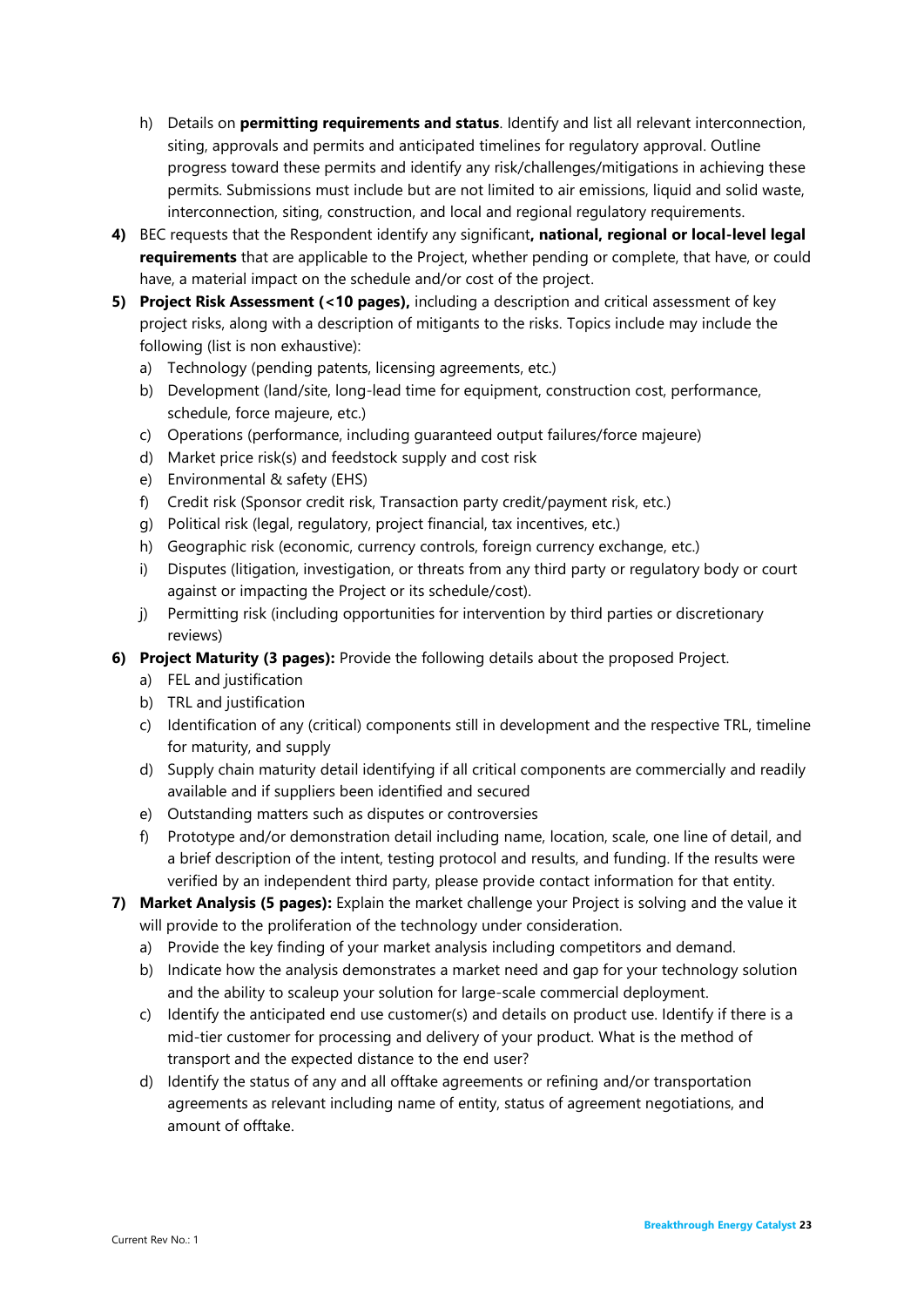- h) Details on **permitting requirements and status**. Identify and list all relevant interconnection, siting, approvals and permits and anticipated timelines for regulatory approval. Outline progress toward these permits and identify any risk/challenges/mitigations in achieving these permits. Submissions must include but are not limited to air emissions, liquid and solid waste, interconnection, siting, construction, and local and regional regulatory requirements.
- **4)** BEC requests that the Respondent identify any significant**, national, regional or local-level legal requirements** that are applicable to the Project, whether pending or complete, that have, or could have, a material impact on the schedule and/or cost of the project.
- **5) Project Risk Assessment (<10 pages),** including a description and critical assessment of key project risks, along with a description of mitigants to the risks. Topics include may include the following (list is non exhaustive):
	- a) Technology (pending patents, licensing agreements, etc.)
	- b) Development (land/site, long-lead time for equipment, construction cost, performance, schedule, force majeure, etc.)
	- c) Operations (performance, including guaranteed output failures/force majeure)
	- d) Market price risk(s) and feedstock supply and cost risk
	- e) Environmental & safety (EHS)
	- f) Credit risk (Sponsor credit risk, Transaction party credit/payment risk, etc.)
	- g) Political risk (legal, regulatory, project financial, tax incentives, etc.)
	- h) Geographic risk (economic, currency controls, foreign currency exchange, etc.)
	- i) Disputes (litigation, investigation, or threats from any third party or regulatory body or court against or impacting the Project or its schedule/cost).
	- j) Permitting risk (including opportunities for intervention by third parties or discretionary reviews)
- **6) Project Maturity (3 pages):** Provide the following details about the proposed Project.
	- a) FEL and justification
	- b) TRL and justification
	- c) Identification of any (critical) components still in development and the respective TRL, timeline for maturity, and supply
	- d) Supply chain maturity detail identifying if all critical components are commercially and readily available and if suppliers been identified and secured
	- e) Outstanding matters such as disputes or controversies
	- f) Prototype and/or demonstration detail including name, location, scale, one line of detail, and a brief description of the intent, testing protocol and results, and funding. If the results were verified by an independent third party, please provide contact information for that entity.
- **7) Market Analysis (5 pages):** Explain the market challenge your Project is solving and the value it will provide to the proliferation of the technology under consideration.
	- a) Provide the key finding of your market analysis including competitors and demand.
	- b) Indicate how the analysis demonstrates a market need and gap for your technology solution and the ability to scaleup your solution for large-scale commercial deployment.
	- c) Identify the anticipated end use customer(s) and details on product use. Identify if there is a mid-tier customer for processing and delivery of your product. What is the method of transport and the expected distance to the end user?
	- d) Identify the status of any and all offtake agreements or refining and/or transportation agreements as relevant including name of entity, status of agreement negotiations, and amount of offtake.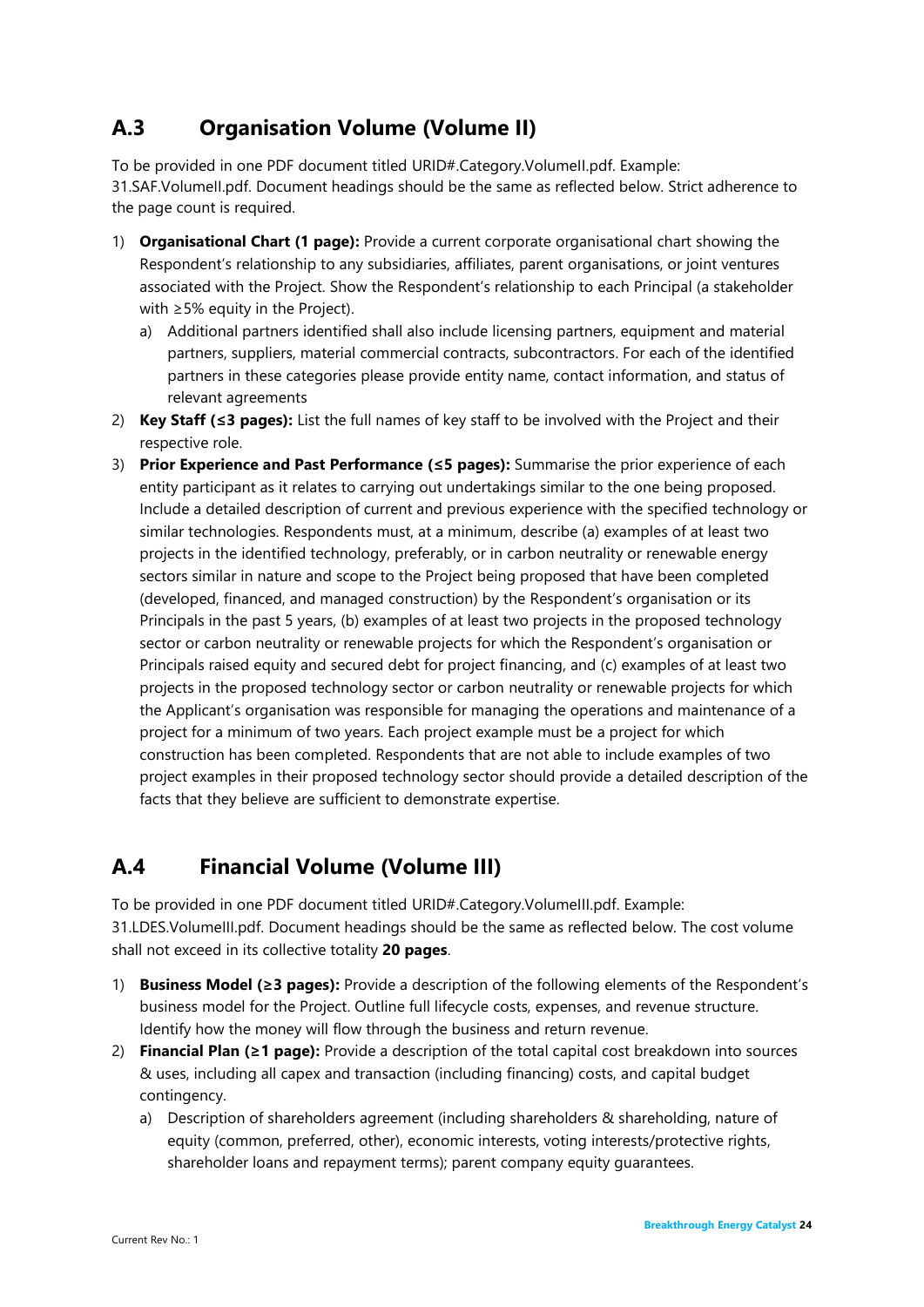## <span id="page-26-0"></span>**A.3 Organisation Volume (Volume II)**

To be provided in one PDF document titled URID#.Category.VolumeII.pdf. Example: 31.SAF.VolumeII.pdf. Document headings should be the same as reflected below. Strict adherence to the page count is required.

- 1) **Organisational Chart (1 page):** Provide a current corporate organisational chart showing the Respondent's relationship to any subsidiaries, affiliates, parent organisations, or joint ventures associated with the Project. Show the Respondent's relationship to each Principal (a stakeholder with ≥5% equity in the Project).
	- a) Additional partners identified shall also include licensing partners, equipment and material partners, suppliers, material commercial contracts, subcontractors. For each of the identified partners in these categories please provide entity name, contact information, and status of relevant agreements
- 2) **Key Staff (≤3 pages):** List the full names of key staff to be involved with the Project and their respective role.
- 3) **Prior Experience and Past Performance (≤5 pages):** Summarise the prior experience of each entity participant as it relates to carrying out undertakings similar to the one being proposed. Include a detailed description of current and previous experience with the specified technology or similar technologies. Respondents must, at a minimum, describe (a) examples of at least two projects in the identified technology, preferably, or in carbon neutrality or renewable energy sectors similar in nature and scope to the Project being proposed that have been completed (developed, financed, and managed construction) by the Respondent's organisation or its Principals in the past 5 years, (b) examples of at least two projects in the proposed technology sector or carbon neutrality or renewable projects for which the Respondent's organisation or Principals raised equity and secured debt for project financing, and (c) examples of at least two projects in the proposed technology sector or carbon neutrality or renewable projects for which the Applicant's organisation was responsible for managing the operations and maintenance of a project for a minimum of two years. Each project example must be a project for which construction has been completed. Respondents that are not able to include examples of two project examples in their proposed technology sector should provide a detailed description of the facts that they believe are sufficient to demonstrate expertise.

## <span id="page-26-1"></span>**A.4 Financial Volume (Volume III)**

To be provided in one PDF document titled URID#.Category.VolumeIII.pdf. Example: 31.LDES.VolumeIII.pdf. Document headings should be the same as reflected below. The cost volume shall not exceed in its collective totality **20 pages**.

- 1) **Business Model (≥3 pages):** Provide a description of the following elements of the Respondent's business model for the Project. Outline full lifecycle costs, expenses, and revenue structure. Identify how the money will flow through the business and return revenue.
- 2) **Financial Plan (≥1 page):** Provide a description of the total capital cost breakdown into sources & uses, including all capex and transaction (including financing) costs, and capital budget contingency.
	- a) Description of shareholders agreement (including shareholders & shareholding, nature of equity (common, preferred, other), economic interests, voting interests/protective rights, shareholder loans and repayment terms); parent company equity guarantees.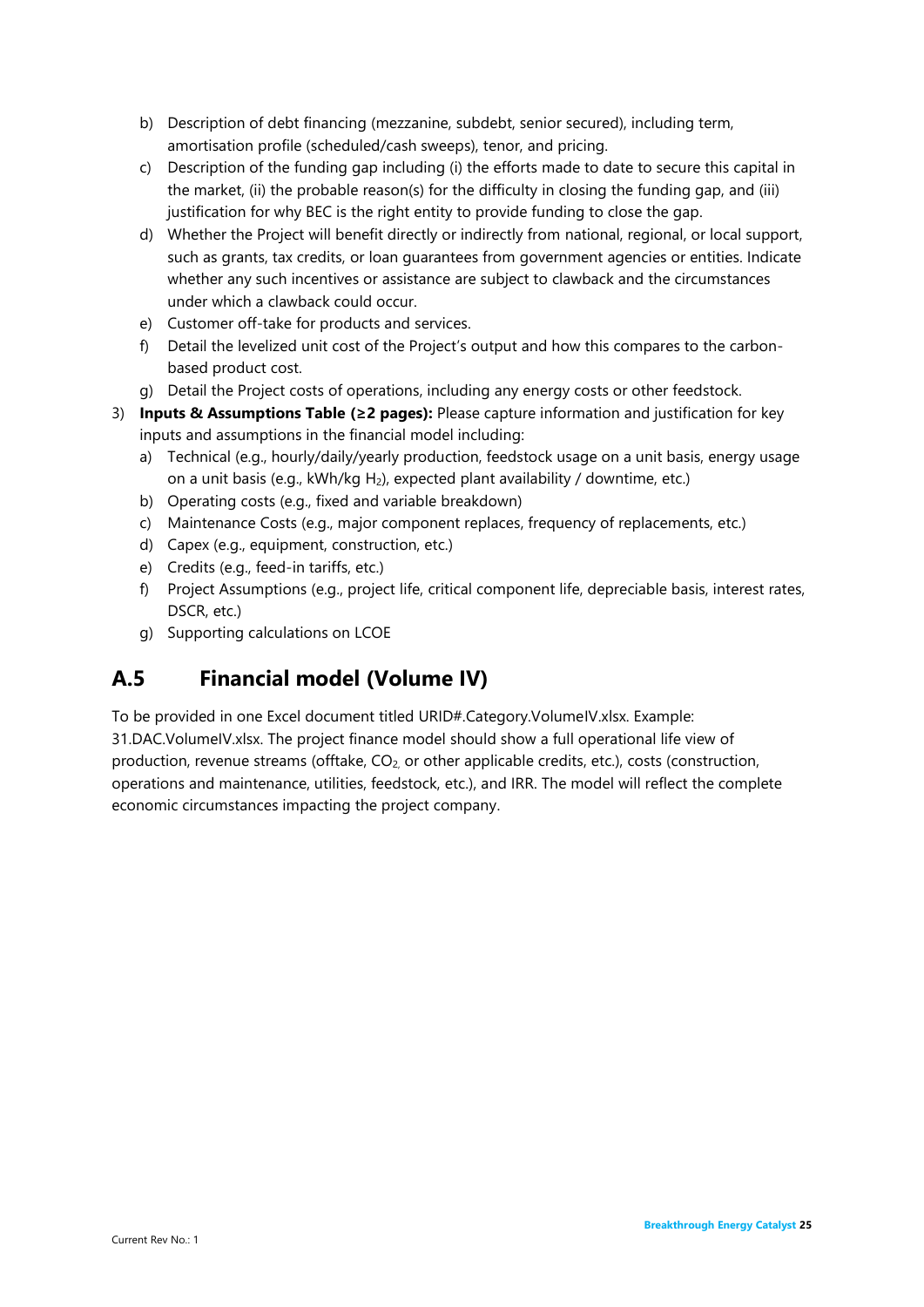- b) Description of debt financing (mezzanine, subdebt, senior secured), including term, amortisation profile (scheduled/cash sweeps), tenor, and pricing.
- c) Description of the funding gap including (i) the efforts made to date to secure this capital in the market, (ii) the probable reason(s) for the difficulty in closing the funding gap, and (iii) justification for why BEC is the right entity to provide funding to close the gap.
- d) Whether the Project will benefit directly or indirectly from national, regional, or local support, such as grants, tax credits, or loan guarantees from government agencies or entities. Indicate whether any such incentives or assistance are subject to clawback and the circumstances under which a clawback could occur.
- e) Customer off-take for products and services.
- f) Detail the levelized unit cost of the Project's output and how this compares to the carbonbased product cost.
- g) Detail the Project costs of operations, including any energy costs or other feedstock.
- 3) **Inputs & Assumptions Table (≥2 pages):** Please capture information and justification for key inputs and assumptions in the financial model including:
	- a) Technical (e.g., hourly/daily/yearly production, feedstock usage on a unit basis, energy usage on a unit basis (e.g.,  $kWh/kg H_2$ ), expected plant availability / downtime, etc.)
	- b) Operating costs (e.g., fixed and variable breakdown)
	- c) Maintenance Costs (e.g., major component replaces, frequency of replacements, etc.)
	- d) Capex (e.g., equipment, construction, etc.)
	- e) Credits (e.g., feed-in tariffs, etc.)
	- f) Project Assumptions (e.g., project life, critical component life, depreciable basis, interest rates, DSCR, etc.)
	- g) Supporting calculations on LCOE

## <span id="page-27-0"></span>**A.5 Financial model (Volume IV)**

To be provided in one Excel document titled URID#.Category.VolumeIV.xlsx. Example: 31.DAC.VolumeIV.xlsx. The project finance model should show a full operational life view of production, revenue streams (offtake, CO2, or other applicable credits, etc.), costs (construction, operations and maintenance, utilities, feedstock, etc.), and IRR. The model will reflect the complete economic circumstances impacting the project company.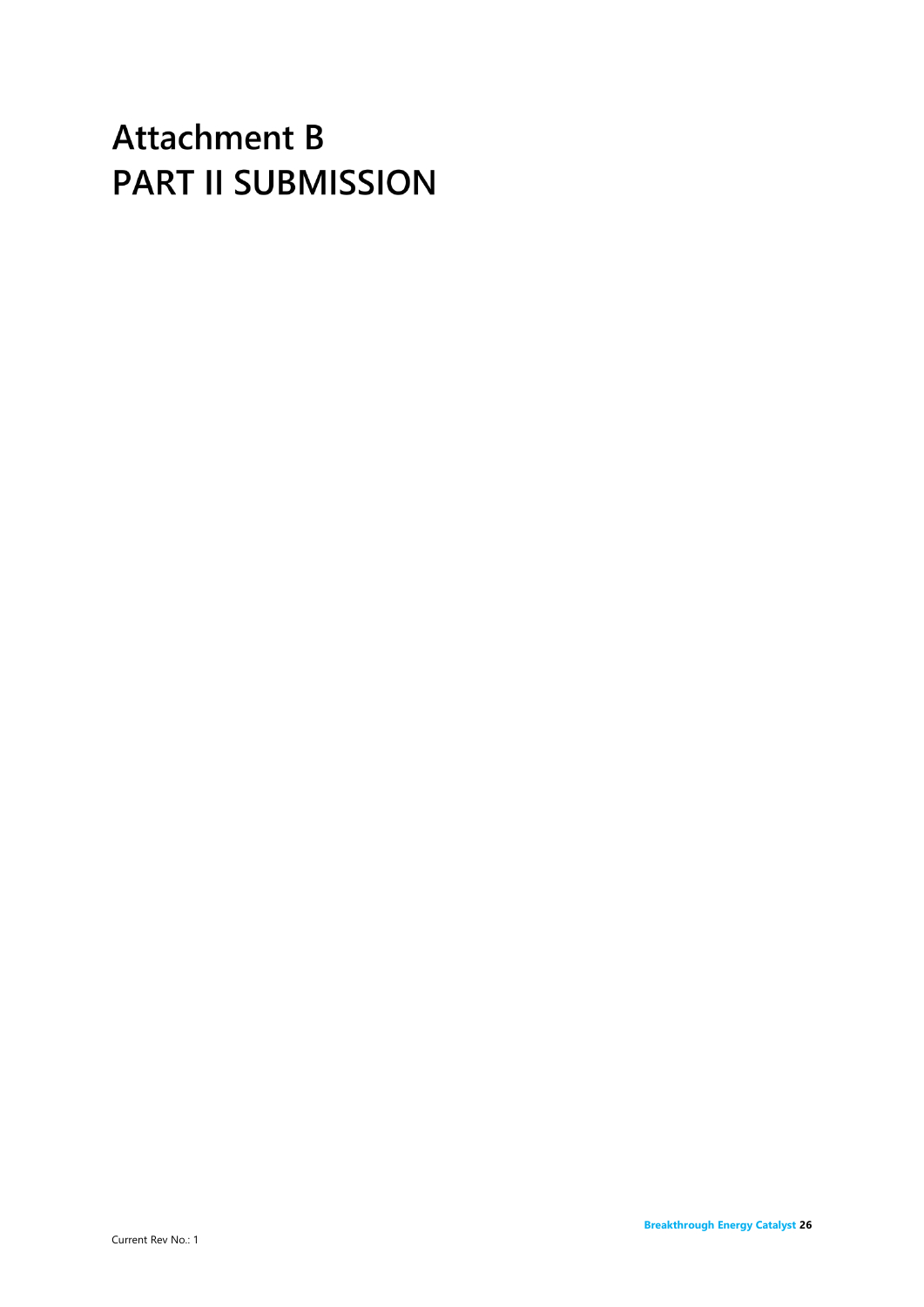# <span id="page-28-0"></span>**Attachment B PART II SUBMISSION**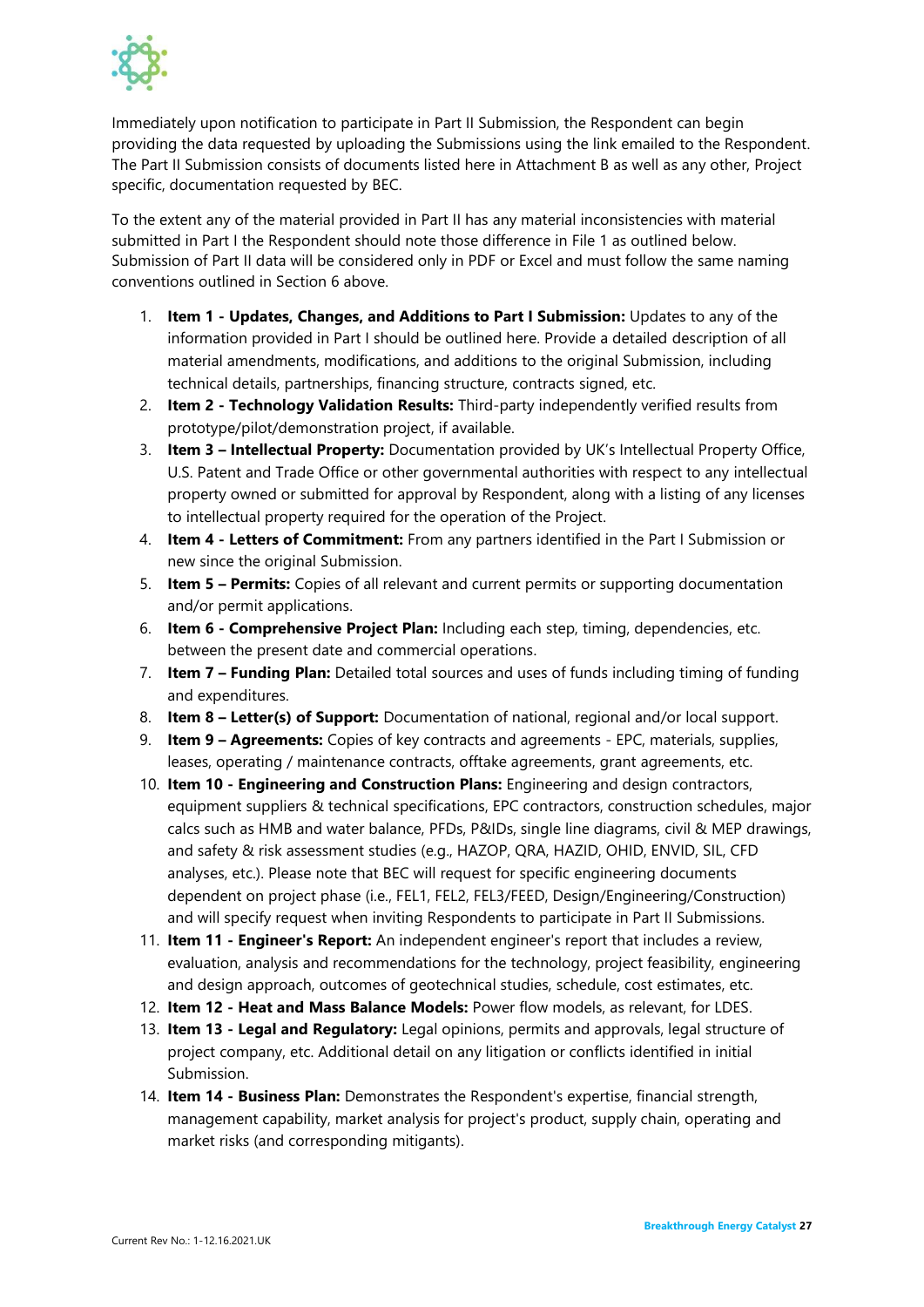

Immediately upon notification to participate in Part II Submission, the Respondent can begin providing the data requested by uploading the Submissions using the link emailed to the Respondent. The Part II Submission consists of documents listed here in Attachment B as well as any other, Project specific, documentation requested by BEC.

To the extent any of the material provided in Part II has any material inconsistencies with material submitted in Part I the Respondent should note those difference in File 1 as outlined below. Submission of Part II data will be considered only in PDF or Excel and must follow the same naming conventions outlined in Section 6 above.

- 1. **Item 1 - Updates, Changes, and Additions to Part I Submission:** Updates to any of the information provided in Part I should be outlined here. Provide a detailed description of all material amendments, modifications, and additions to the original Submission, including technical details, partnerships, financing structure, contracts signed, etc.
- 2. **Item 2 - Technology Validation Results:** Third-party independently verified results from prototype/pilot/demonstration project, if available.
- 3. **Item 3 – Intellectual Property:** Documentation provided by UK's Intellectual Property Office, U.S. Patent and Trade Office or other governmental authorities with respect to any intellectual property owned or submitted for approval by Respondent, along with a listing of any licenses to intellectual property required for the operation of the Project.
- 4. **Item 4 - Letters of Commitment:** From any partners identified in the Part I Submission or new since the original Submission.
- 5. **Item 5 – Permits:** Copies of all relevant and current permits or supporting documentation and/or permit applications.
- 6. **Item 6 - Comprehensive Project Plan:** Including each step, timing, dependencies, etc. between the present date and commercial operations.
- 7. **Item 7 – Funding Plan:** Detailed total sources and uses of funds including timing of funding and expenditures.
- 8. **Item 8 – Letter(s) of Support:** Documentation of national, regional and/or local support.
- 9. **Item 9 – Agreements:** Copies of key contracts and agreements EPC, materials, supplies, leases, operating / maintenance contracts, offtake agreements, grant agreements, etc.
- 10. **Item 10 - Engineering and Construction Plans:** Engineering and design contractors, equipment suppliers & technical specifications, EPC contractors, construction schedules, major calcs such as HMB and water balance, PFDs, P&IDs, single line diagrams, civil & MEP drawings, and safety & risk assessment studies (e.g., HAZOP, QRA, HAZID, OHID, ENVID, SIL, CFD analyses, etc.). Please note that BEC will request for specific engineering documents dependent on project phase (i.e., FEL1, FEL2, FEL3/FEED, Design/Engineering/Construction) and will specify request when inviting Respondents to participate in Part II Submissions.
- 11. **Item 11 - Engineer's Report:** An independent engineer's report that includes a review, evaluation, analysis and recommendations for the technology, project feasibility, engineering and design approach, outcomes of geotechnical studies, schedule, cost estimates, etc.
- 12. **Item 12 - Heat and Mass Balance Models:** Power flow models, as relevant, for LDES.
- 13. **Item 13 - Legal and Regulatory:** Legal opinions, permits and approvals, legal structure of project company, etc. Additional detail on any litigation or conflicts identified in initial Submission.
- 14. **Item 14 - Business Plan:** Demonstrates the Respondent's expertise, financial strength, management capability, market analysis for project's product, supply chain, operating and market risks (and corresponding mitigants).